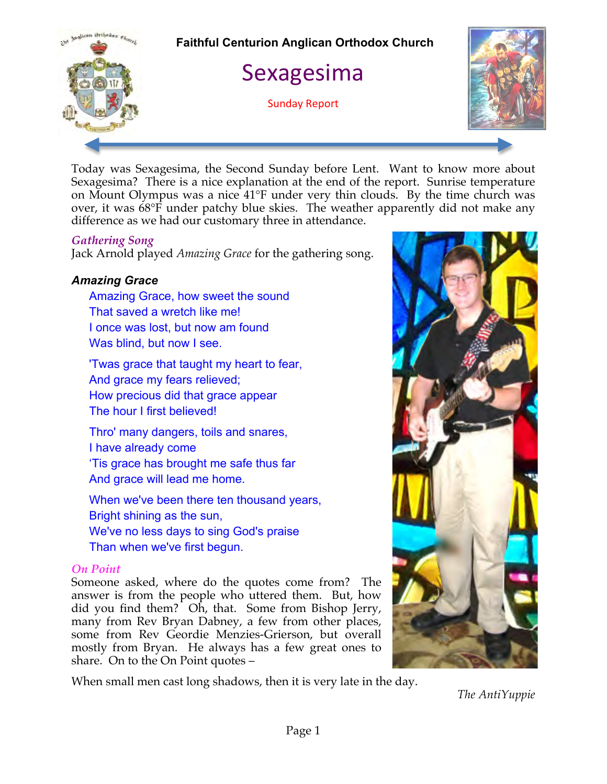

Today was Sexagesima, the Second Sunday before Lent. Want to know more about Sexagesima? There is a nice explanation at the end of the report. Sunrise temperature on Mount Olympus was a nice 41°F under very thin clouds. By the time church was over, it was 68°F under patchy blue skies. The weather apparently did not make any difference as we had our customary three in attendance.

## *Gathering Song*

Jack Arnold played *Amazing Grace* for the gathering song.

# *Amazing Grace*

Amazing Grace, how sweet the sound That saved a wretch like me! I once was lost, but now am found Was blind, but now I see.

'Twas grace that taught my heart to fear, And grace my fears relieved; How precious did that grace appear The hour I first believed!

Thro' many dangers, toils and snares, I have already come 'Tis grace has brought me safe thus far And grace will lead me home.

When we've been there ten thousand years, Bright shining as the sun, We've no less days to sing God's praise Than when we've first begun.

## *On Point*

Someone asked, where do the quotes come from? The answer is from the people who uttered them. But, how did you find them? Oh, that. Some from Bishop Jerry, many from Rev Bryan Dabney, a few from other places, some from Rev Geordie Menzies-Grierson, but overall mostly from Bryan. He always has a few great ones to share. On to the On Point quotes –

When small men cast long shadows, then it is very late in the day.



*The AntiYuppie*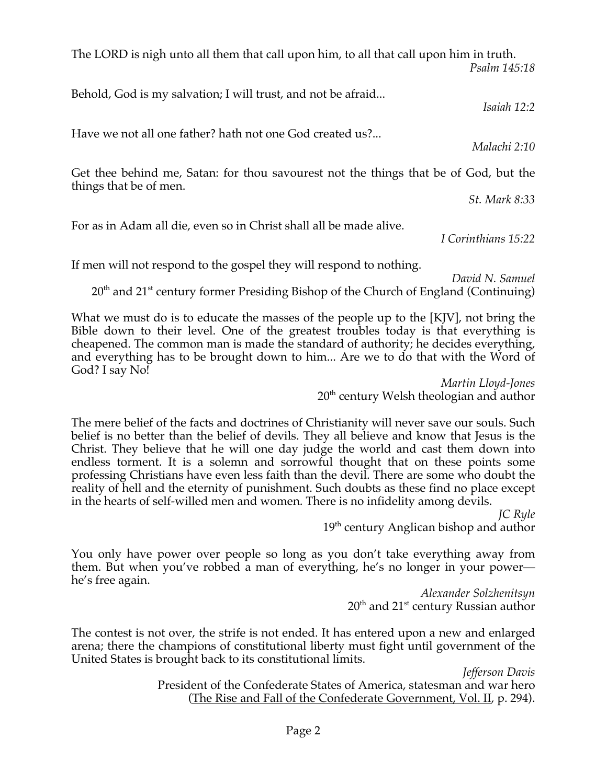The LORD is nigh unto all them that call upon him, to all that call upon him in truth. *Psalm 145:18* 

Behold, God is my salvation; I will trust, and not be afraid...

Have we not all one father? hath not one God created us?...

Get thee behind me, Satan: for thou savourest not the things that be of God, but the things that be of men.

For as in Adam all die, even so in Christ shall all be made alive.

If men will not respond to the gospel they will respond to nothing.

What we must do is to educate the masses of the people up to the [KJV], not bring the Bible down to their level. One of the greatest troubles today is that everything is cheapened. The common man is made the standard of authority; he decides everything, and everything has to be brought down to him... Are we to do that with the Word of God? I say No!

 $20<sup>th</sup>$  and  $21<sup>st</sup>$  century former Presiding Bishop of the Church of England (Continuing)

*Martin Lloyd-Jones* 20<sup>th</sup> century Welsh theologian and author

The mere belief of the facts and doctrines of Christianity will never save our souls. Such belief is no better than the belief of devils. They all believe and know that Jesus is the Christ. They believe that he will one day judge the world and cast them down into endless torment. It is a solemn and sorrowful thought that on these points some professing Christians have even less faith than the devil. There are some who doubt the reality of hell and the eternity of punishment. Such doubts as these find no place except in the hearts of self-willed men and women. There is no infidelity among devils.

> *JC Ryle* 19<sup>th</sup> century Anglican bishop and author

You only have power over people so long as you don't take everything away from them. But when you've robbed a man of everything, he's no longer in your power he's free again.

*Alexander Solzhenitsyn*  $20<sup>th</sup>$  and  $21<sup>st</sup>$  century Russian author

The contest is not over, the strife is not ended. It has entered upon a new and enlarged arena; there the champions of constitutional liberty must fight until government of the United States is brought back to its constitutional limits.

> *Jefferson Davis* President of the Confederate States of America, statesman and war hero (The Rise and Fall of the Confederate Government, Vol. II, p. 294).

*Malachi 2:10* 

*St. Mark 8:33* 

*I Corinthians 15:22* 

*David N. Samuel*

*Isaiah 12:2*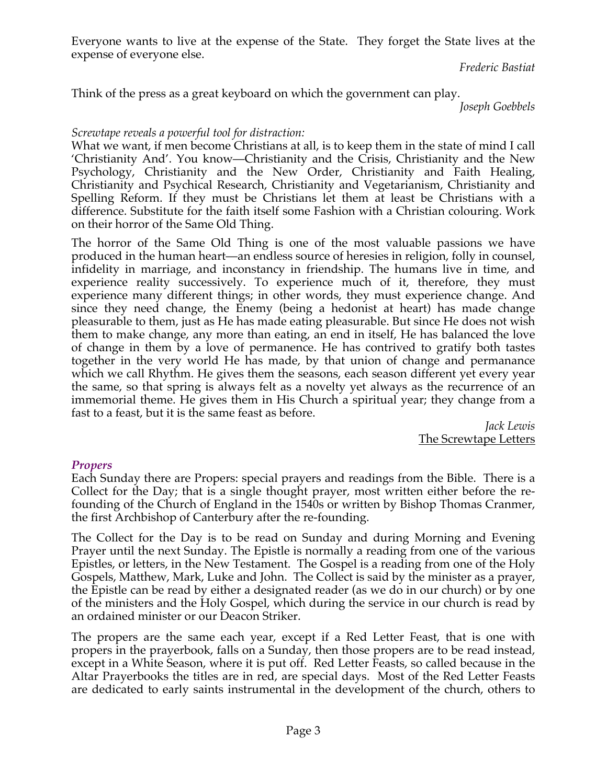Everyone wants to live at the expense of the State. They forget the State lives at the expense of everyone else.

*Frederic Bastiat*

Think of the press as a great keyboard on which the government can play.

*Joseph Goebbels*

# *Screwtape reveals a powerful tool for distraction:*

What we want, if men become Christians at all, is to keep them in the state of mind I call 'Christianity And'. You know—Christianity and the Crisis, Christianity and the New Psychology, Christianity and the New Order, Christianity and Faith Healing, Christianity and Psychical Research, Christianity and Vegetarianism, Christianity and Spelling Reform. If they must be Christians let them at least be Christians with a difference. Substitute for the faith itself some Fashion with a Christian colouring. Work on their horror of the Same Old Thing.

The horror of the Same Old Thing is one of the most valuable passions we have produced in the human heart—an endless source of heresies in religion, folly in counsel, infidelity in marriage, and inconstancy in friendship. The humans live in time, and experience reality successively. To experience much of it, therefore, they must experience many different things; in other words, they must experience change. And since they need change, the Enemy (being a hedonist at heart) has made change pleasurable to them, just as He has made eating pleasurable. But since He does not wish them to make change, any more than eating, an end in itself, He has balanced the love of change in them by a love of permanence. He has contrived to gratify both tastes together in the very world He has made, by that union of change and permanance which we call Rhythm. He gives them the seasons, each season different yet every year the same, so that spring is always felt as a novelty yet always as the recurrence of an immemorial theme. He gives them in His Church a spiritual year; they change from a fast to a feast, but it is the same feast as before.

*Jack Lewis* The Screwtape Letters

# *Propers*

Each Sunday there are Propers: special prayers and readings from the Bible. There is a Collect for the Day; that is a single thought prayer, most written either before the refounding of the Church of England in the 1540s or written by Bishop Thomas Cranmer, the first Archbishop of Canterbury after the re-founding.

The Collect for the Day is to be read on Sunday and during Morning and Evening Prayer until the next Sunday. The Epistle is normally a reading from one of the various Epistles, or letters, in the New Testament. The Gospel is a reading from one of the Holy Gospels, Matthew, Mark, Luke and John. The Collect is said by the minister as a prayer, the Epistle can be read by either a designated reader (as we do in our church) or by one of the ministers and the Holy Gospel, which during the service in our church is read by an ordained minister or our Deacon Striker.

The propers are the same each year, except if a Red Letter Feast, that is one with propers in the prayerbook, falls on a Sunday, then those propers are to be read instead, except in a White Season, where it is put off. Red Letter Feasts, so called because in the Altar Prayerbooks the titles are in red, are special days. Most of the Red Letter Feasts are dedicated to early saints instrumental in the development of the church, others to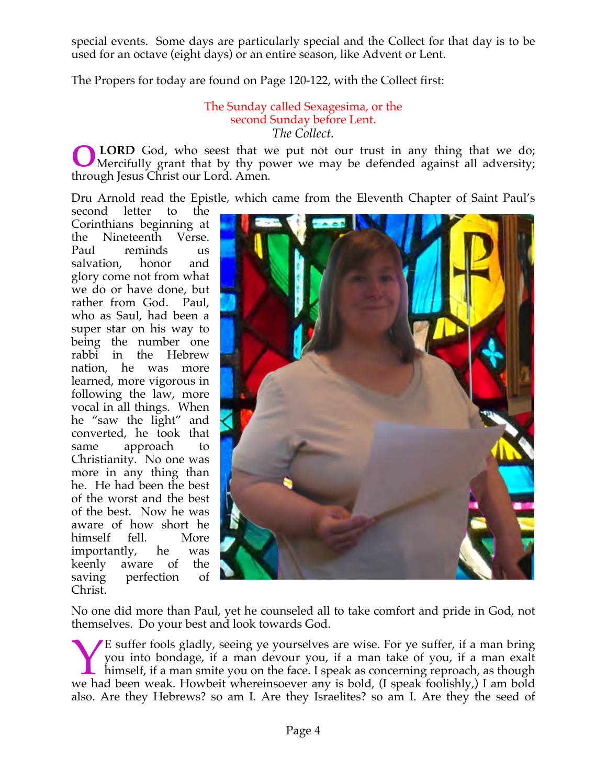special events. Some days are particularly special and the Collect for that day is to be used for an octave (eight days) or an entire season, like Advent or Lent.

The Propers for today are found on Page 120-122, with the Collect first:

The Sunday called Sexagesima, or the second Sunday before Lent. *The Collect.*

**LORD** God, who seest that we put not our trust in any thing that we do; Mercifully grant that by thy power we may be defended against all adversity; through Jesus Christ our Lord. Amen*.* **O**

Dru Arnold read the Epistle, which came from the Eleventh Chapter of Saint Paul's

second letter to the Corinthians beginning at the Nineteenth Verse. Paul reminds us salvation, honor and glory come not from what we do or have done, but rather from God. Paul, who as Saul, had been a super star on his way to being the number one rabbi in the Hebrew nation, he was more learned, more vigorous in following the law, more vocal in all things. When he "saw the light" and converted, he took that same approach to Christianity. No one was more in any thing than he. He had been the best of the worst and the best of the best. Now he was aware of how short he himself fell. More importantly, he was keenly aware of the saving perfection of Christ.



No one did more than Paul, yet he counseled all to take comfort and pride in God, not themselves. Do your best and look towards God.

E suffer fools gladly, seeing ye yourselves are wise. For ye suffer, if a man bring you into bondage, if a man devour you, if a man take of you, if a man exalt himself, if a man smite you on the face. I speak as concerning reproach, as though E suffer fools gladly, seeing ye yourselves are wise. For ye suffer, if a man bring you into bondage, if a man devour you, if a man take of you, if a man exalt himself, if a man smite you on the face. I speak as concerning also. Are they Hebrews? so am I. Are they Israelites? so am I. Are they the seed of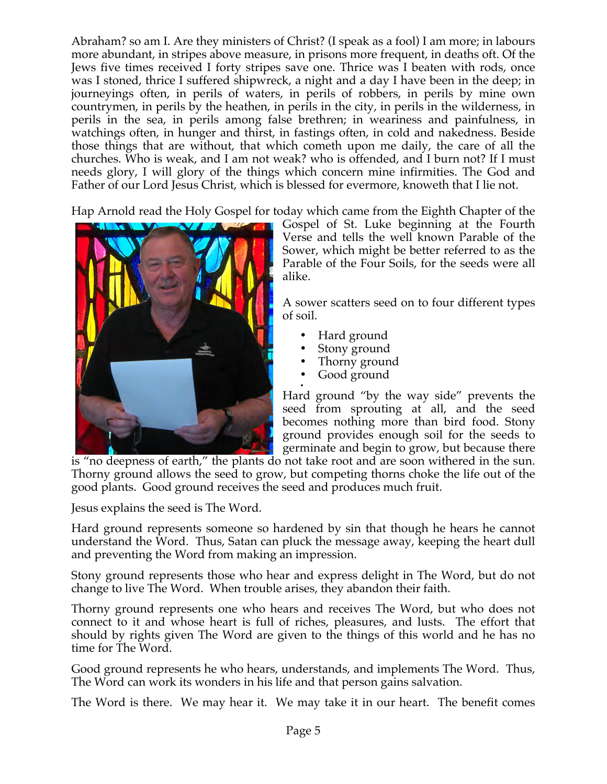Abraham? so am I. Are they ministers of Christ? (I speak as a fool) I am more; in labours more abundant, in stripes above measure, in prisons more frequent, in deaths oft. Of the Jews five times received I forty stripes save one. Thrice was I beaten with rods, once was I stoned, thrice I suffered shipwreck, a night and a day I have been in the deep; in journeyings often, in perils of waters, in perils of robbers, in perils by mine own countrymen, in perils by the heathen, in perils in the city, in perils in the wilderness, in perils in the sea, in perils among false brethren; in weariness and painfulness, in watchings often, in hunger and thirst, in fastings often, in cold and nakedness. Beside those things that are without, that which cometh upon me daily, the care of all the churches. Who is weak, and I am not weak? who is offended, and I burn not? If I must needs glory, I will glory of the things which concern mine infirmities. The God and Father of our Lord Jesus Christ, which is blessed for evermore, knoweth that I lie not.

Hap Arnold read the Holy Gospel for today which came from the Eighth Chapter of the



Gospel of St. Luke beginning at the Fourth Verse and tells the well known Parable of the Sower, which might be better referred to as the Parable of the Four Soils, for the seeds were all alike.

A sower scatters seed on to four different types of soil.

- Hard ground
- Stony ground
- Thorny ground<br>• Good ground
- Good ground

• Hard ground "by the way side" prevents the seed from sprouting at all, and the seed becomes nothing more than bird food. Stony ground provides enough soil for the seeds to germinate and begin to grow, but because there

is "no deepness of earth," the plants do not take root and are soon withered in the sun. Thorny ground allows the seed to grow, but competing thorns choke the life out of the good plants. Good ground receives the seed and produces much fruit.

Jesus explains the seed is The Word.

Hard ground represents someone so hardened by sin that though he hears he cannot understand the Word. Thus, Satan can pluck the message away, keeping the heart dull and preventing the Word from making an impression.

Stony ground represents those who hear and express delight in The Word, but do not change to live The Word. When trouble arises, they abandon their faith.

Thorny ground represents one who hears and receives The Word, but who does not connect to it and whose heart is full of riches, pleasures, and lusts. The effort that should by rights given The Word are given to the things of this world and he has no time for The Word.

Good ground represents he who hears, understands, and implements The Word. Thus, The Word can work its wonders in his life and that person gains salvation.

The Word is there. We may hear it. We may take it in our heart. The benefit comes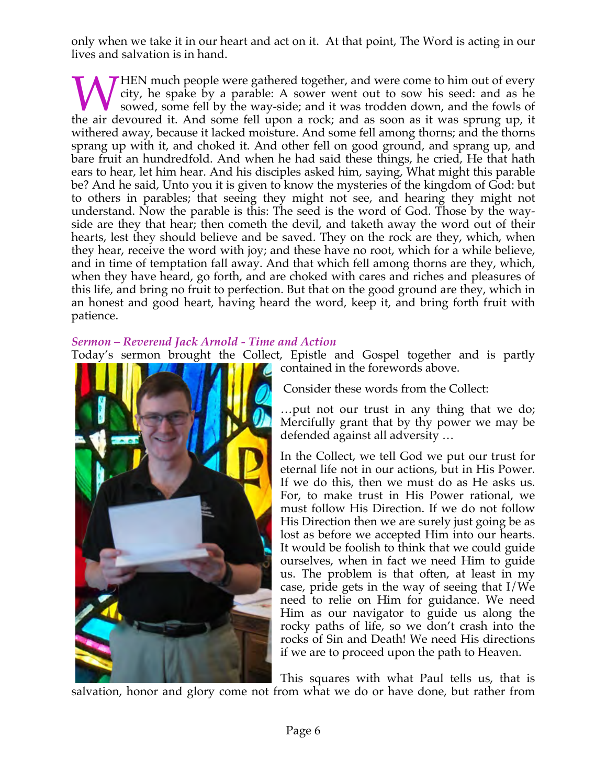only when we take it in our heart and act on it. At that point, The Word is acting in our lives and salvation is in hand.

HEN much people were gathered together, and were come to him out of every city, he spake by a parable: A sower went out to sow his seed: and as he sowed, some fell by the way-side; and it was trodden down, and the fowls of WHEN much people were gathered together, and were come to him out of every city, he spake by a parable: A sower went out to sow his seed: and as he sowed, some fell by the way-side; and it was trodden down, and the fowls o withered away, because it lacked moisture. And some fell among thorns; and the thorns sprang up with it, and choked it. And other fell on good ground, and sprang up, and bare fruit an hundredfold. And when he had said these things, he cried, He that hath ears to hear, let him hear. And his disciples asked him, saying, What might this parable be? And he said, Unto you it is given to know the mysteries of the kingdom of God: but to others in parables; that seeing they might not see, and hearing they might not understand. Now the parable is this: The seed is the word of God. Those by the wayside are they that hear; then cometh the devil, and taketh away the word out of their hearts, lest they should believe and be saved. They on the rock are they, which, when they hear, receive the word with joy; and these have no root, which for a while believe, and in time of temptation fall away. And that which fell among thorns are they, which, when they have heard, go forth, and are choked with cares and riches and pleasures of this life, and bring no fruit to perfection. But that on the good ground are they, which in an honest and good heart, having heard the word, keep it, and bring forth fruit with patience.

# *Sermon – Reverend Jack Arnold - Time and Action*

Today's sermon brought the Collect, Epistle and Gospel together and is partly



contained in the forewords above.

Consider these words from the Collect:

…put not our trust in any thing that we do; Mercifully grant that by thy power we may be defended against all adversity …

In the Collect, we tell God we put our trust for eternal life not in our actions, but in His Power. If we do this, then we must do as He asks us. For, to make trust in His Power rational, we must follow His Direction. If we do not follow His Direction then we are surely just going be as lost as before we accepted Him into our hearts. It would be foolish to think that we could guide ourselves, when in fact we need Him to guide us. The problem is that often, at least in my case, pride gets in the way of seeing that I/We need to relie on Him for guidance. We need Him as our navigator to guide us along the rocky paths of life, so we don't crash into the rocks of Sin and Death! We need His directions if we are to proceed upon the path to Heaven.

This squares with what Paul tells us, that is salvation, honor and glory come not from what we do or have done, but rather from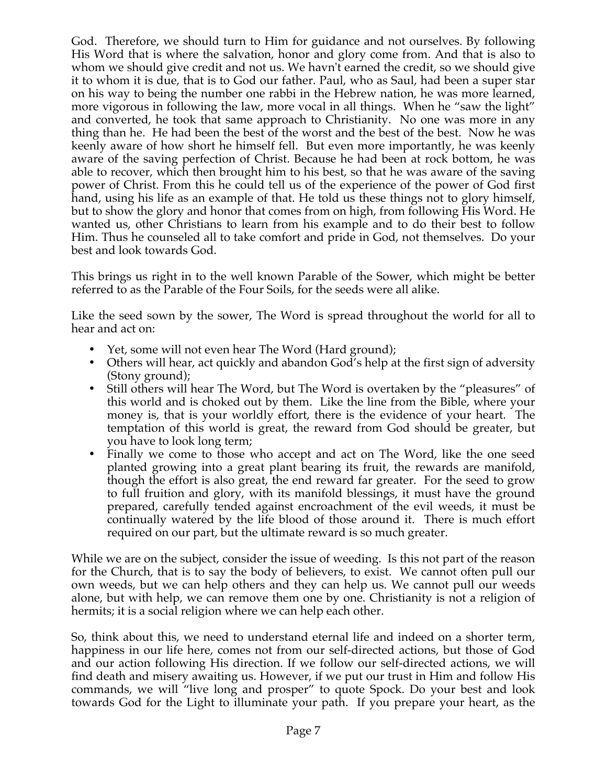God. Therefore, we should turn to Him for guidance and not ourselves. By following His Word that is where the salvation, honor and glory come from. And that is also to whom we should give credit and not us. We havn't earned the credit, so we should give it to whom it is due, that is to God our father. Paul, who as Saul, had been a super star on his way to being the number one rabbi in the Hebrew nation, he was more learned, more vigorous in following the law, more vocal in all things. When he "saw the light" and converted, he took that same approach to Christianity. No one was more in any thing than he. He had been the best of the worst and the best of the best. Now he was keenly aware of how short he himself fell. But even more importantly, he was keenly aware of the saving perfection of Christ. Because he had been at rock bottom, he was able to recover, which then brought him to his best, so that he was aware of the saving power of Christ. From this he could tell us of the experience of the power of God first hand, using his life as an example of that. He told us these things not to glory himself, but to show the glory and honor that comes from on high, from following His Word. He wanted us, other Christians to learn from his example and to do their best to follow Him. Thus he counseled all to take comfort and pride in God, not themselves. Do your best and look towards God.

This brings us right in to the well known Parable of the Sower, which might be better referred to as the Parable of the Four Soils, for the seeds were all alike.

Like the seed sown by the sower, The Word is spread throughout the world for all to hear and act on:

- Yet, some will not even hear The Word (Hard ground);
- Others will hear, act quickly and abandon God's help at the first sign of adversity (Stony ground);
- Still others will hear The Word, but The Word is overtaken by the "pleasures" of this world and is choked out by them. Like the line from the Bible, where your money is, that is your worldly effort, there is the evidence of your heart. The temptation of this world is great, the reward from God should be greater, but you have to look long term;
- Finally we come to those who accept and act on The Word, like the one seed planted growing into a great plant bearing its fruit, the rewards are manifold, though the effort is also great, the end reward far greater. For the seed to grow to full fruition and glory, with its manifold blessings, it must have the ground prepared, carefully tended against encroachment of the evil weeds, it must be continually watered by the life blood of those around it. There is much effort required on our part, but the ultimate reward is so much greater.

While we are on the subject, consider the issue of weeding. Is this not part of the reason for the Church, that is to say the body of believers, to exist. We cannot often pull our own weeds, but we can help others and they can help us. We cannot pull our weeds alone, but with help, we can remove them one by one. Christianity is not a religion of hermits; it is a social religion where we can help each other.

So, think about this, we need to understand eternal life and indeed on a shorter term, happiness in our life here, comes not from our self-directed actions, but those of God and our action following His direction. If we follow our self-directed actions, we will find death and misery awaiting us. However, if we put our trust in Him and follow His commands, we will "live long and prosper" to quote Spock. Do your best and look towards God for the Light to illuminate your path. If you prepare your heart, as the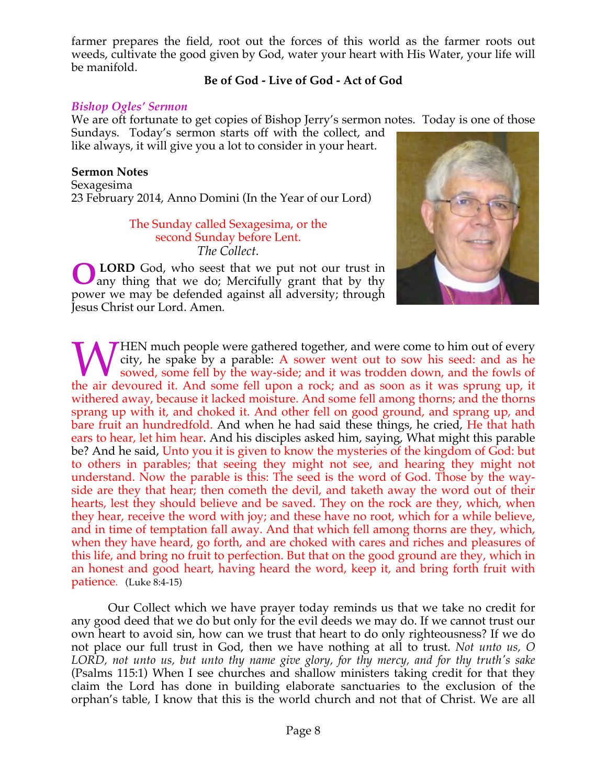farmer prepares the field, root out the forces of this world as the farmer roots out weeds, cultivate the good given by God, water your heart with His Water, your life will be manifold.

# **Be of God - Live of God - Act of God**

#### *Bishop Ogles' Sermon*

We are oft fortunate to get copies of Bishop Jerry's sermon notes. Today is one of those

Sundays. Today's sermon starts off with the collect, and like always, it will give you a lot to consider in your heart.

## **Sermon Notes**

Sexagesima 23 February 2014, Anno Domini (In the Year of our Lord)

#### The Sunday called Sexagesima, or the second Sunday before Lent. *The Collect.*

 **LORD** God, who seest that we put not our trust in any thing that we do; Mercifully grant that by thy power we may be defended against all adversity; through Jesus Christ our Lord. Amen*.* **O**



**THEN** much people were gathered together, and were come to him out of every city, he spake by a parable: A sower went out to sow his seed: and as he sowed, some fell by the way-side; and it was trodden down, and the fowls of WHEN much people were gathered together, and were come to him out of every city, he spake by a parable: A sower went out to sow his seed: and as he sowed, some fell by the way-side; and it was trodden down, and the fowls o withered away, because it lacked moisture. And some fell among thorns; and the thorns sprang up with it, and choked it. And other fell on good ground, and sprang up, and bare fruit an hundredfold. And when he had said these things, he cried, He that hath ears to hear, let him hear. And his disciples asked him, saying, What might this parable be? And he said, Unto you it is given to know the mysteries of the kingdom of God: but to others in parables; that seeing they might not see, and hearing they might not understand. Now the parable is this: The seed is the word of God. Those by the wayside are they that hear; then cometh the devil, and taketh away the word out of their hearts, lest they should believe and be saved. They on the rock are they, which, when they hear, receive the word with joy; and these have no root, which for a while believe, and in time of temptation fall away. And that which fell among thorns are they, which, when they have heard, go forth, and are choked with cares and riches and pleasures of this life, and bring no fruit to perfection. But that on the good ground are they, which in an honest and good heart, having heard the word, keep it, and bring forth fruit with patience. (Luke 8:4-15)

 Our Collect which we have prayer today reminds us that we take no credit for any good deed that we do but only for the evil deeds we may do. If we cannot trust our own heart to avoid sin, how can we trust that heart to do only righteousness? If we do not place our full trust in God, then we have nothing at all to trust. *Not unto us, O LORD, not unto us, but unto thy name give glory, for thy mercy, and for thy truth's sake* (Psalms 115:1) When I see churches and shallow ministers taking credit for that they claim the Lord has done in building elaborate sanctuaries to the exclusion of the orphan's table, I know that this is the world church and not that of Christ. We are all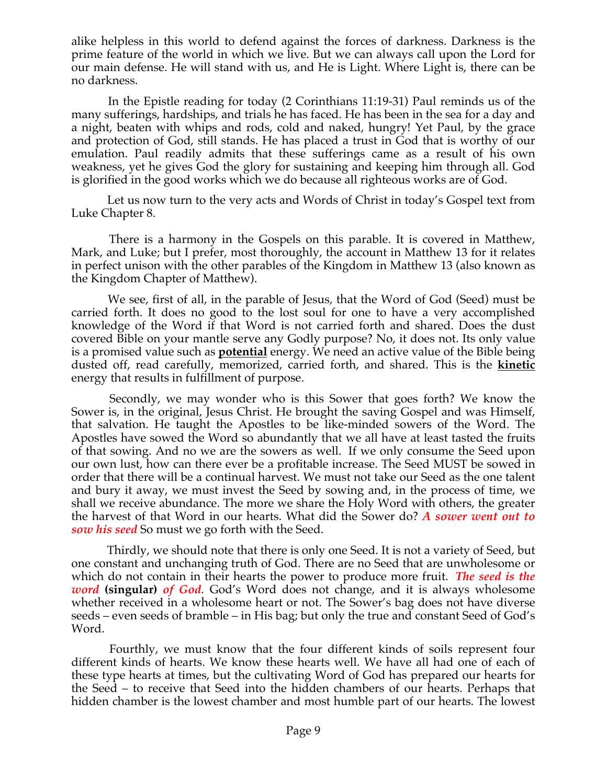alike helpless in this world to defend against the forces of darkness. Darkness is the prime feature of the world in which we live. But we can always call upon the Lord for our main defense. He will stand with us, and He is Light. Where Light is, there can be no darkness.

 In the Epistle reading for today (2 Corinthians 11:19-31) Paul reminds us of the many sufferings, hardships, and trials he has faced. He has been in the sea for a day and a night, beaten with whips and rods, cold and naked, hungry! Yet Paul, by the grace and protection of God, still stands. He has placed a trust in God that is worthy of our emulation. Paul readily admits that these sufferings came as a result of his own weakness, yet he gives God the glory for sustaining and keeping him through all. God is glorified in the good works which we do because all righteous works are of God.

 Let us now turn to the very acts and Words of Christ in today's Gospel text from Luke Chapter 8.

 There is a harmony in the Gospels on this parable. It is covered in Matthew, Mark, and Luke; but I prefer, most thoroughly, the account in Matthew 13 for it relates in perfect unison with the other parables of the Kingdom in Matthew 13 (also known as the Kingdom Chapter of Matthew).

 We see, first of all, in the parable of Jesus, that the Word of God (Seed) must be carried forth. It does no good to the lost soul for one to have a very accomplished knowledge of the Word if that Word is not carried forth and shared. Does the dust covered Bible on your mantle serve any Godly purpose? No, it does not. Its only value is a promised value such as **potential** energy. We need an active value of the Bible being dusted off, read carefully, memorized, carried forth, and shared. This is the **kinetic**  energy that results in fulfillment of purpose.

 Secondly, we may wonder who is this Sower that goes forth? We know the Sower is, in the original, Jesus Christ. He brought the saving Gospel and was Himself, that salvation. He taught the Apostles to be like-minded sowers of the Word. The Apostles have sowed the Word so abundantly that we all have at least tasted the fruits of that sowing. And no we are the sowers as well. If we only consume the Seed upon our own lust, how can there ever be a profitable increase. The Seed MUST be sowed in order that there will be a continual harvest. We must not take our Seed as the one talent and bury it away, we must invest the Seed by sowing and, in the process of time, we shall we receive abundance. The more we share the Holy Word with others, the greater the harvest of that Word in our hearts. What did the Sower do? *A sower went out to sow his seed* So must we go forth with the Seed.

 Thirdly, we should note that there is only one Seed. It is not a variety of Seed, but one constant and unchanging truth of God. There are no Seed that are unwholesome or which do not contain in their hearts the power to produce more fruit. *The seed is the word* **(singular)** *of God.* God's Word does not change, and it is always wholesome whether received in a wholesome heart or not. The Sower's bag does not have diverse seeds – even seeds of bramble – in His bag; but only the true and constant Seed of God's Word.

 Fourthly, we must know that the four different kinds of soils represent four different kinds of hearts. We know these hearts well. We have all had one of each of these type hearts at times, but the cultivating Word of God has prepared our hearts for the Seed – to receive that Seed into the hidden chambers of our hearts. Perhaps that hidden chamber is the lowest chamber and most humble part of our hearts. The lowest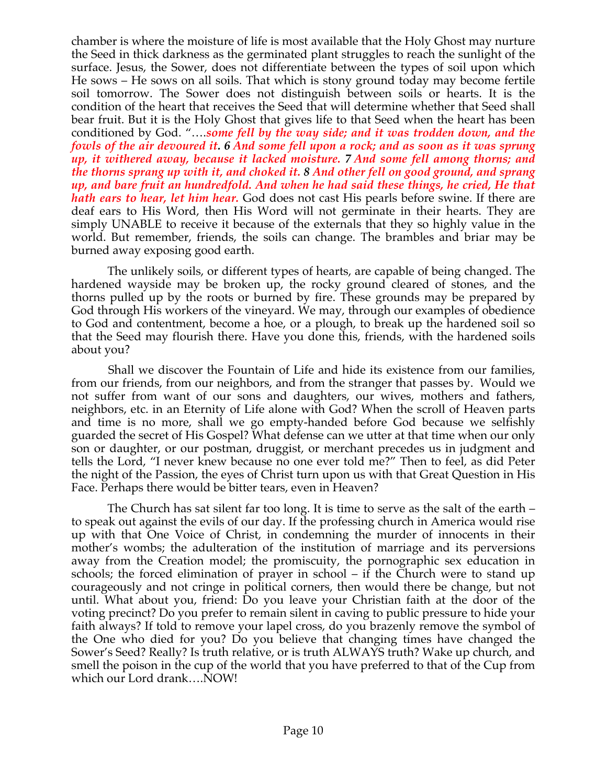chamber is where the moisture of life is most available that the Holy Ghost may nurture the Seed in thick darkness as the germinated plant struggles to reach the sunlight of the surface. Jesus, the Sower, does not differentiate between the types of soil upon which He sows – He sows on all soils. That which is stony ground today may become fertile soil tomorrow. The Sower does not distinguish between soils or hearts. It is the condition of the heart that receives the Seed that will determine whether that Seed shall bear fruit. But it is the Holy Ghost that gives life to that Seed when the heart has been conditioned by God. "….*some fell by the way side; and it was trodden down, and the fowls of the air devoured it. 6 And some fell upon a rock; and as soon as it was sprung up, it withered away, because it lacked moisture. 7 And some fell among thorns; and the thorns sprang up with it, and choked it. 8 And other fell on good ground, and sprang up, and bare fruit an hundredfold. And when he had said these things, he cried, He that hath ears to hear, let him hear.* God does not cast His pearls before swine. If there are deaf ears to His Word, then His Word will not germinate in their hearts. They are simply UNABLE to receive it because of the externals that they so highly value in the world. But remember, friends, the soils can change. The brambles and briar may be burned away exposing good earth.

 The unlikely soils, or different types of hearts, are capable of being changed. The hardened wayside may be broken up, the rocky ground cleared of stones, and the thorns pulled up by the roots or burned by fire. These grounds may be prepared by God through His workers of the vineyard. We may, through our examples of obedience to God and contentment, become a hoe, or a plough, to break up the hardened soil so that the Seed may flourish there. Have you done this, friends, with the hardened soils about you?

 Shall we discover the Fountain of Life and hide its existence from our families, from our friends, from our neighbors, and from the stranger that passes by. Would we not suffer from want of our sons and daughters, our wives, mothers and fathers, neighbors, etc. in an Eternity of Life alone with God? When the scroll of Heaven parts and time is no more, shall we go empty-handed before God because we selfishly guarded the secret of His Gospel? What defense can we utter at that time when our only son or daughter, or our postman, druggist, or merchant precedes us in judgment and tells the Lord, "I never knew because no one ever told me?" Then to feel, as did Peter the night of the Passion, the eyes of Christ turn upon us with that Great Question in His Face. Perhaps there would be bitter tears, even in Heaven?

 The Church has sat silent far too long. It is time to serve as the salt of the earth – to speak out against the evils of our day. If the professing church in America would rise up with that One Voice of Christ, in condemning the murder of innocents in their mother's wombs; the adulteration of the institution of marriage and its perversions away from the Creation model; the promiscuity, the pornographic sex education in schools; the forced elimination of prayer in school – if the Church were to stand up courageously and not cringe in political corners, then would there be change, but not until. What about you, friend: Do you leave your Christian faith at the door of the voting precinct? Do you prefer to remain silent in caving to public pressure to hide your faith always? If told to remove your lapel cross, do you brazenly remove the symbol of the One who died for you? Do you believe that changing times have changed the Sower's Seed? Really? Is truth relative, or is truth ALWAYS truth? Wake up church, and smell the poison in the cup of the world that you have preferred to that of the Cup from which our Lord drank….NOW!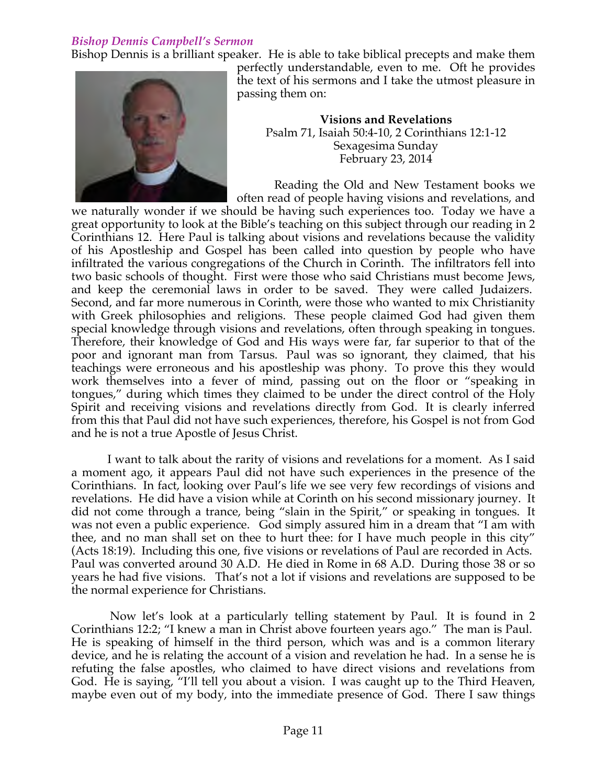# *Bishop Dennis Campbell's Sermon*

Bishop Dennis is a brilliant speaker. He is able to take biblical precepts and make them



perfectly understandable, even to me. Oft he provides the text of his sermons and I take the utmost pleasure in passing them on:

**Visions and Revelations** Psalm 71, Isaiah 50:4-10, 2 Corinthians 12:1-12 Sexagesima Sunday February 23, 2014

 Reading the Old and New Testament books we often read of people having visions and revelations, and

we naturally wonder if we should be having such experiences too. Today we have a great opportunity to look at the Bible's teaching on this subject through our reading in 2 Corinthians 12. Here Paul is talking about visions and revelations because the validity of his Apostleship and Gospel has been called into question by people who have infiltrated the various congregations of the Church in Corinth. The infiltrators fell into two basic schools of thought. First were those who said Christians must become Jews, and keep the ceremonial laws in order to be saved. They were called Judaizers. Second, and far more numerous in Corinth, were those who wanted to mix Christianity with Greek philosophies and religions. These people claimed God had given them special knowledge through visions and revelations, often through speaking in tongues. Therefore, their knowledge of God and His ways were far, far superior to that of the poor and ignorant man from Tarsus. Paul was so ignorant, they claimed, that his teachings were erroneous and his apostleship was phony. To prove this they would work themselves into a fever of mind, passing out on the floor or "speaking in tongues," during which times they claimed to be under the direct control of the Holy Spirit and receiving visions and revelations directly from God. It is clearly inferred from this that Paul did not have such experiences, therefore, his Gospel is not from God and he is not a true Apostle of Jesus Christ.

 I want to talk about the rarity of visions and revelations for a moment. As I said a moment ago, it appears Paul did not have such experiences in the presence of the Corinthians. In fact, looking over Paul's life we see very few recordings of visions and revelations. He did have a vision while at Corinth on his second missionary journey. It did not come through a trance, being "slain in the Spirit," or speaking in tongues. It was not even a public experience. God simply assured him in a dream that "I am with thee, and no man shall set on thee to hurt thee: for I have much people in this city" (Acts 18:19). Including this one, five visions or revelations of Paul are recorded in Acts. Paul was converted around 30 A.D. He died in Rome in 68 A.D. During those 38 or so years he had five visions. That's not a lot if visions and revelations are supposed to be the normal experience for Christians.

 Now let's look at a particularly telling statement by Paul. It is found in 2 Corinthians 12:2; "I knew a man in Christ above fourteen years ago." The man is Paul. He is speaking of himself in the third person, which was and is a common literary device, and he is relating the account of a vision and revelation he had. In a sense he is refuting the false apostles, who claimed to have direct visions and revelations from God. He is saying, "I'll tell you about a vision. I was caught up to the Third Heaven, maybe even out of my body, into the immediate presence of God. There I saw things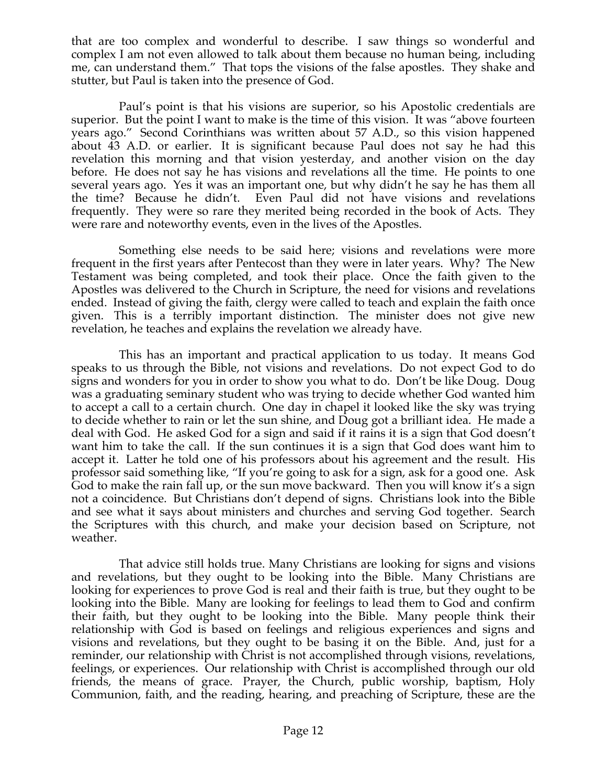that are too complex and wonderful to describe. I saw things so wonderful and complex I am not even allowed to talk about them because no human being, including me, can understand them." That tops the visions of the false apostles. They shake and stutter, but Paul is taken into the presence of God.

Paul's point is that his visions are superior, so his Apostolic credentials are superior. But the point I want to make is the time of this vision. It was "above fourteen years ago." Second Corinthians was written about 57 A.D., so this vision happened about 43 A.D. or earlier. It is significant because Paul does not say he had this revelation this morning and that vision yesterday, and another vision on the day before. He does not say he has visions and revelations all the time. He points to one several years ago. Yes it was an important one, but why didn't he say he has them all the time? Because he didn't. Even Paul did not have visions and revelations frequently. They were so rare they merited being recorded in the book of Acts. They were rare and noteworthy events, even in the lives of the Apostles.

Something else needs to be said here; visions and revelations were more frequent in the first years after Pentecost than they were in later years. Why? The New Testament was being completed, and took their place. Once the faith given to the Apostles was delivered to the Church in Scripture, the need for visions and revelations ended. Instead of giving the faith, clergy were called to teach and explain the faith once given. This is a terribly important distinction. The minister does not give new revelation, he teaches and explains the revelation we already have.

This has an important and practical application to us today. It means God speaks to us through the Bible, not visions and revelations. Do not expect God to do signs and wonders for you in order to show you what to do. Don't be like Doug. Doug was a graduating seminary student who was trying to decide whether God wanted him to accept a call to a certain church. One day in chapel it looked like the sky was trying to decide whether to rain or let the sun shine, and Doug got a brilliant idea. He made a deal with God. He asked God for a sign and said if it rains it is a sign that God doesn't want him to take the call. If the sun continues it is a sign that God does want him to accept it. Latter he told one of his professors about his agreement and the result. His professor said something like, "If you're going to ask for a sign, ask for a good one. Ask God to make the rain fall up, or the sun move backward. Then you will know it's a sign not a coincidence. But Christians don't depend of signs. Christians look into the Bible and see what it says about ministers and churches and serving God together. Search the Scriptures with this church, and make your decision based on Scripture, not weather.

That advice still holds true. Many Christians are looking for signs and visions and revelations, but they ought to be looking into the Bible. Many Christians are looking for experiences to prove God is real and their faith is true, but they ought to be looking into the Bible. Many are looking for feelings to lead them to God and confirm their faith, but they ought to be looking into the Bible. Many people think their relationship with God is based on feelings and religious experiences and signs and visions and revelations, but they ought to be basing it on the Bible. And, just for a reminder, our relationship with Christ is not accomplished through visions, revelations, feelings, or experiences. Our relationship with Christ is accomplished through our old friends, the means of grace. Prayer, the Church, public worship, baptism, Holy Communion, faith, and the reading, hearing, and preaching of Scripture, these are the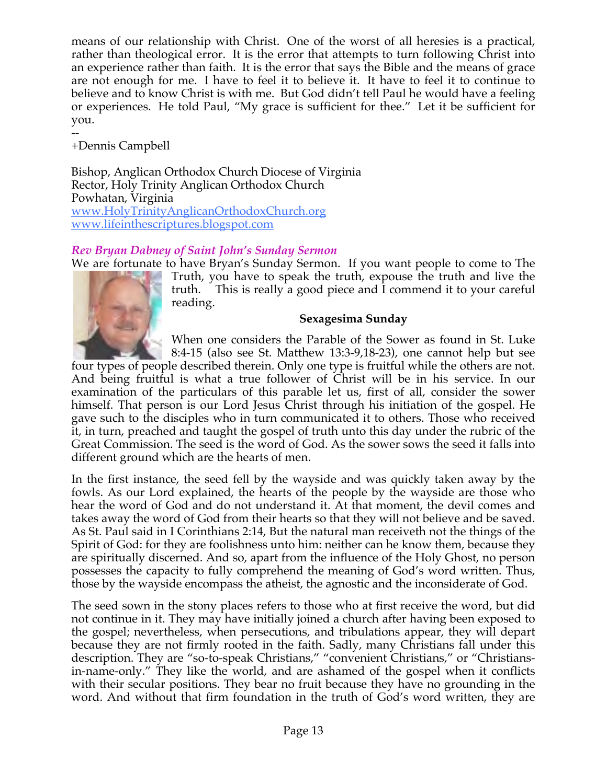means of our relationship with Christ. One of the worst of all heresies is a practical, rather than theological error. It is the error that attempts to turn following Christ into an experience rather than faith. It is the error that says the Bible and the means of grace are not enough for me. I have to feel it to believe it. It have to feel it to continue to believe and to know Christ is with me. But God didn't tell Paul he would have a feeling or experiences. He told Paul, "My grace is sufficient for thee." Let it be sufficient for you.

+Dennis Campbell

--

Bishop, Anglican Orthodox Church Diocese of Virginia Rector, Holy Trinity Anglican Orthodox Church Powhatan, Virginia www.HolyTrinityAnglicanOrthodoxChurch.org www.lifeinthescriptures.blogspot.com

# *Rev Bryan Dabney of Saint John's Sunday Sermon*

We are fortunate to have Bryan's Sunday Sermon. If you want people to come to The Truth, you have to speak the truth, expouse the truth and live the truth. This is really a good piece and I commend it to your careful reading.

## **Sexagesima Sunday**

When one considers the Parable of the Sower as found in St. Luke 8:4-15 (also see St. Matthew 13:3-9,18-23), one cannot help but see

four types of people described therein. Only one type is fruitful while the others are not. And being fruitful is what a true follower of Christ will be in his service. In our examination of the particulars of this parable let us, first of all, consider the sower himself. That person is our Lord Jesus Christ through his initiation of the gospel. He gave such to the disciples who in turn communicated it to others. Those who received it, in turn, preached and taught the gospel of truth unto this day under the rubric of the Great Commission. The seed is the word of God. As the sower sows the seed it falls into different ground which are the hearts of men.

In the first instance, the seed fell by the wayside and was quickly taken away by the fowls. As our Lord explained, the hearts of the people by the wayside are those who hear the word of God and do not understand it. At that moment, the devil comes and takes away the word of God from their hearts so that they will not believe and be saved. As St. Paul said in I Corinthians 2:14, But the natural man receiveth not the things of the Spirit of God: for they are foolishness unto him: neither can he know them, because they are spiritually discerned. And so, apart from the influence of the Holy Ghost, no person possesses the capacity to fully comprehend the meaning of God's word written. Thus, those by the wayside encompass the atheist, the agnostic and the inconsiderate of God.

The seed sown in the stony places refers to those who at first receive the word, but did not continue in it. They may have initially joined a church after having been exposed to the gospel; nevertheless, when persecutions, and tribulations appear, they will depart because they are not firmly rooted in the faith. Sadly, many Christians fall under this description. They are "so-to-speak Christians," "convenient Christians," or "Christiansin-name-only." They like the world, and are ashamed of the gospel when it conflicts with their secular positions. They bear no fruit because they have no grounding in the word. And without that firm foundation in the truth of God's word written, they are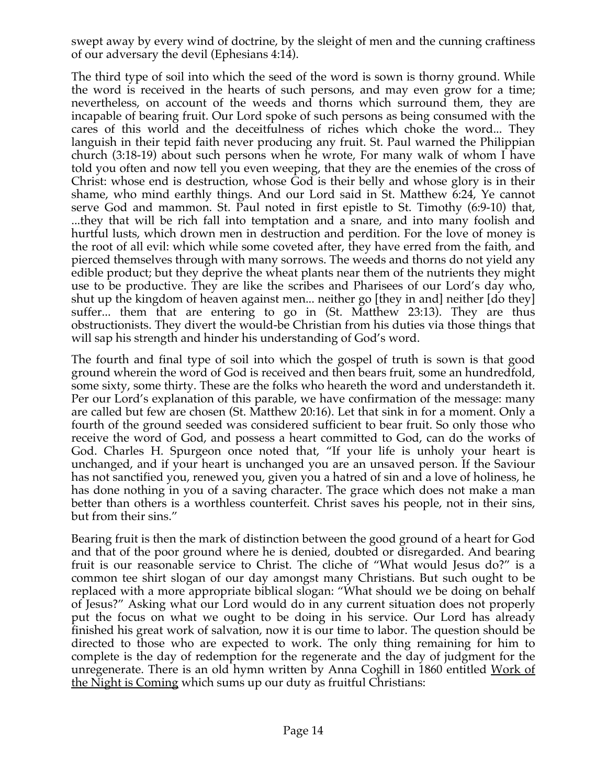swept away by every wind of doctrine, by the sleight of men and the cunning craftiness of our adversary the devil (Ephesians 4:14).

The third type of soil into which the seed of the word is sown is thorny ground. While the word is received in the hearts of such persons, and may even grow for a time; nevertheless, on account of the weeds and thorns which surround them, they are incapable of bearing fruit. Our Lord spoke of such persons as being consumed with the cares of this world and the deceitfulness of riches which choke the word... They languish in their tepid faith never producing any fruit. St. Paul warned the Philippian church (3:18-19) about such persons when he wrote, For many walk of whom I have told you often and now tell you even weeping, that they are the enemies of the cross of Christ: whose end is destruction, whose God is their belly and whose glory is in their shame, who mind earthly things. And our Lord said in St. Matthew 6:24, Ye cannot serve God and mammon. St. Paul noted in first epistle to St. Timothy (6:9-10) that, ...they that will be rich fall into temptation and a snare, and into many foolish and hurtful lusts, which drown men in destruction and perdition. For the love of money is the root of all evil: which while some coveted after, they have erred from the faith, and pierced themselves through with many sorrows. The weeds and thorns do not yield any edible product; but they deprive the wheat plants near them of the nutrients they might use to be productive. They are like the scribes and Pharisees of our Lord's day who, shut up the kingdom of heaven against men... neither go [they in and] neither [do they] suffer... them that are entering to go in (St. Matthew 23:13). They are thus obstructionists. They divert the would-be Christian from his duties via those things that will sap his strength and hinder his understanding of God's word.

The fourth and final type of soil into which the gospel of truth is sown is that good ground wherein the word of God is received and then bears fruit, some an hundredfold, some sixty, some thirty. These are the folks who heareth the word and understandeth it. Per our Lord's explanation of this parable, we have confirmation of the message: many are called but few are chosen (St. Matthew 20:16). Let that sink in for a moment. Only a fourth of the ground seeded was considered sufficient to bear fruit. So only those who receive the word of God, and possess a heart committed to God, can do the works of God. Charles H. Spurgeon once noted that, "If your life is unholy your heart is unchanged, and if your heart is unchanged you are an unsaved person. If the Saviour has not sanctified you, renewed you, given you a hatred of sin and a love of holiness, he has done nothing in you of a saving character. The grace which does not make a man better than others is a worthless counterfeit. Christ saves his people, not in their sins, but from their sins."

Bearing fruit is then the mark of distinction between the good ground of a heart for God and that of the poor ground where he is denied, doubted or disregarded. And bearing fruit is our reasonable service to Christ. The cliche of "What would Jesus do?" is a common tee shirt slogan of our day amongst many Christians. But such ought to be replaced with a more appropriate biblical slogan: "What should we be doing on behalf of Jesus?" Asking what our Lord would do in any current situation does not properly put the focus on what we ought to be doing in his service. Our Lord has already finished his great work of salvation, now it is our time to labor. The question should be directed to those who are expected to work. The only thing remaining for him to complete is the day of redemption for the regenerate and the day of judgment for the unregenerate. There is an old hymn written by Anna Coghill in 1860 entitled Work of the Night is Coming which sums up our duty as fruitful Christians: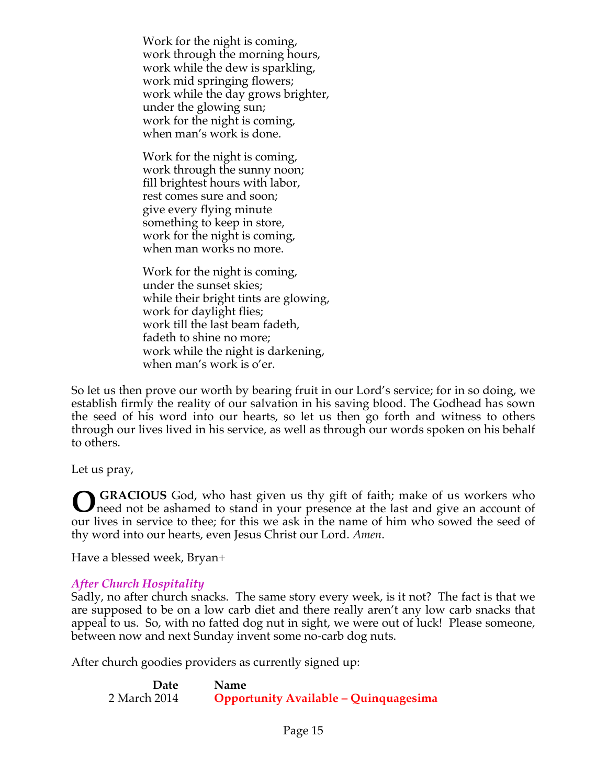Work for the night is coming, work through the morning hours, work while the dew is sparkling, work mid springing flowers; work while the day grows brighter, under the glowing sun; work for the night is coming, when man's work is done.

Work for the night is coming, work through the sunny noon; fill brightest hours with labor, rest comes sure and soon; give every flying minute something to keep in store, work for the night is coming, when man works no more.

Work for the night is coming, under the sunset skies; while their bright tints are glowing, work for daylight flies; work till the last beam fadeth, fadeth to shine no more; work while the night is darkening, when man's work is o'er.

So let us then prove our worth by bearing fruit in our Lord's service; for in so doing, we establish firmly the reality of our salvation in his saving blood. The Godhead has sown the seed of his word into our hearts, so let us then go forth and witness to others through our lives lived in his service, as well as through our words spoken on his behalf to others.

Let us pray,

 **GRACIOUS** God, who hast given us thy gift of faith; make of us workers who need not be ashamed to stand in your presence at the last and give an account of our lives in service to thee; for this we ask in the name of him who sowed the seed of thy word into our hearts, even Jesus Christ our Lord. *Amen*. **O**

Have a blessed week, Bryan+

# *After Church Hospitality*

Sadly, no after church snacks. The same story every week, is it not? The fact is that we are supposed to be on a low carb diet and there really aren't any low carb snacks that appeal to us. So, with no fatted dog nut in sight, we were out of luck! Please someone, between now and next Sunday invent some no-carb dog nuts.

After church goodies providers as currently signed up:

| Date         | <b>Name</b>                                  |
|--------------|----------------------------------------------|
| 2 March 2014 | <b>Opportunity Available - Quinquagesima</b> |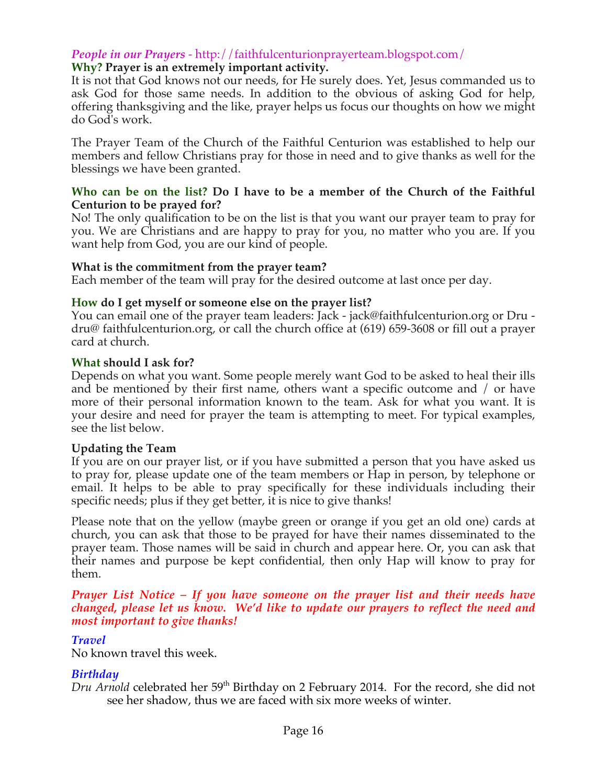# *People in our Prayers* - http://faithfulcenturionprayerteam.blogspot.com/

## **Why? Prayer is an extremely important activity.**

It is not that God knows not our needs, for He surely does. Yet, Jesus commanded us to ask God for those same needs. In addition to the obvious of asking God for help, offering thanksgiving and the like, prayer helps us focus our thoughts on how we might do God's work.

The Prayer Team of the Church of the Faithful Centurion was established to help our members and fellow Christians pray for those in need and to give thanks as well for the blessings we have been granted.

#### **Who can be on the list? Do I have to be a member of the Church of the Faithful Centurion to be prayed for?**

No! The only qualification to be on the list is that you want our prayer team to pray for you. We are Christians and are happy to pray for you, no matter who you are. If you want help from God, you are our kind of people.

#### **What is the commitment from the prayer team?**

Each member of the team will pray for the desired outcome at last once per day.

#### **How do I get myself or someone else on the prayer list?**

You can email one of the prayer team leaders: Jack - jack@faithfulcenturion.org or Dru dru@ faithfulcenturion.org, or call the church office at (619) 659-3608 or fill out a prayer card at church.

#### **What should I ask for?**

Depends on what you want. Some people merely want God to be asked to heal their ills and be mentioned by their first name, others want a specific outcome and / or have more of their personal information known to the team. Ask for what you want. It is your desire and need for prayer the team is attempting to meet. For typical examples, see the list below.

## **Updating the Team**

If you are on our prayer list, or if you have submitted a person that you have asked us to pray for, please update one of the team members or Hap in person, by telephone or email. It helps to be able to pray specifically for these individuals including their specific needs; plus if they get better, it is nice to give thanks!

Please note that on the yellow (maybe green or orange if you get an old one) cards at church, you can ask that those to be prayed for have their names disseminated to the prayer team. Those names will be said in church and appear here. Or, you can ask that their names and purpose be kept confidential, then only Hap will know to pray for them.

#### *Prayer List Notice – If you have someone on the prayer list and their needs have changed, please let us know. We'd like to update our prayers to reflect the need and most important to give thanks!*

## *Travel*

No known travel this week.

## *Birthday*

*Dru Arnold* celebrated her 59<sup>th</sup> Birthday on 2 February 2014. For the record, she did not see her shadow, thus we are faced with six more weeks of winter.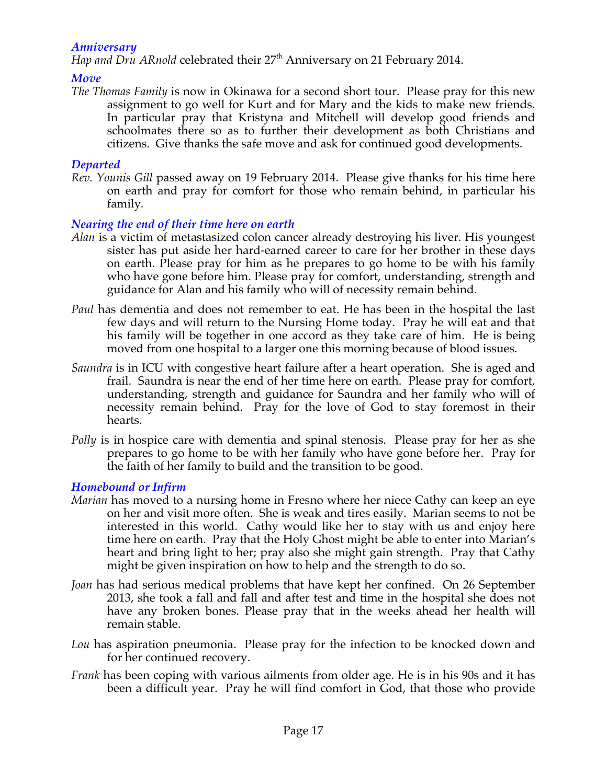## *Anniversary*

*Hap and Dru ARnold* celebrated their 27<sup>th</sup> Anniversary on 21 February 2014.

# *Move*

*The Thomas Family* is now in Okinawa for a second short tour. Please pray for this new assignment to go well for Kurt and for Mary and the kids to make new friends. In particular pray that Kristyna and Mitchell will develop good friends and schoolmates there so as to further their development as both Christians and citizens. Give thanks the safe move and ask for continued good developments.

# *Departed*

*Rev. Younis Gill* passed away on 19 February 2014. Please give thanks for his time here on earth and pray for comfort for those who remain behind, in particular his family*.* 

# *Nearing the end of their time here on earth*

- *Alan* is a victim of metastasized colon cancer already destroying his liver. His youngest sister has put aside her hard-earned career to care for her brother in these days on earth. Please pray for him as he prepares to go home to be with his family who have gone before him. Please pray for comfort, understanding, strength and guidance for Alan and his family who will of necessity remain behind.
- *Paul* has dementia and does not remember to eat. He has been in the hospital the last few days and will return to the Nursing Home today. Pray he will eat and that his family will be together in one accord as they take care of him. He is being moved from one hospital to a larger one this morning because of blood issues.
- *Saundra* is in ICU with congestive heart failure after a heart operation. She is aged and frail. Saundra is near the end of her time here on earth. Please pray for comfort, understanding, strength and guidance for Saundra and her family who will of necessity remain behind. Pray for the love of God to stay foremost in their hearts.
- *Polly* is in hospice care with dementia and spinal stenosis. Please pray for her as she prepares to go home to be with her family who have gone before her. Pray for the faith of her family to build and the transition to be good.

# *Homebound or Infirm*

- *Marian* has moved to a nursing home in Fresno where her niece Cathy can keep an eye on her and visit more often. She is weak and tires easily. Marian seems to not be interested in this world. Cathy would like her to stay with us and enjoy here time here on earth. Pray that the Holy Ghost might be able to enter into Marian's heart and bring light to her; pray also she might gain strength. Pray that Cathy might be given inspiration on how to help and the strength to do so.
- *Joan* has had serious medical problems that have kept her confined. On 26 September 2013, she took a fall and fall and after test and time in the hospital she does not have any broken bones. Please pray that in the weeks ahead her health will remain stable.
- *Lou* has aspiration pneumonia. Please pray for the infection to be knocked down and for her continued recovery.
- *Frank* has been coping with various ailments from older age. He is in his 90s and it has been a difficult year. Pray he will find comfort in God, that those who provide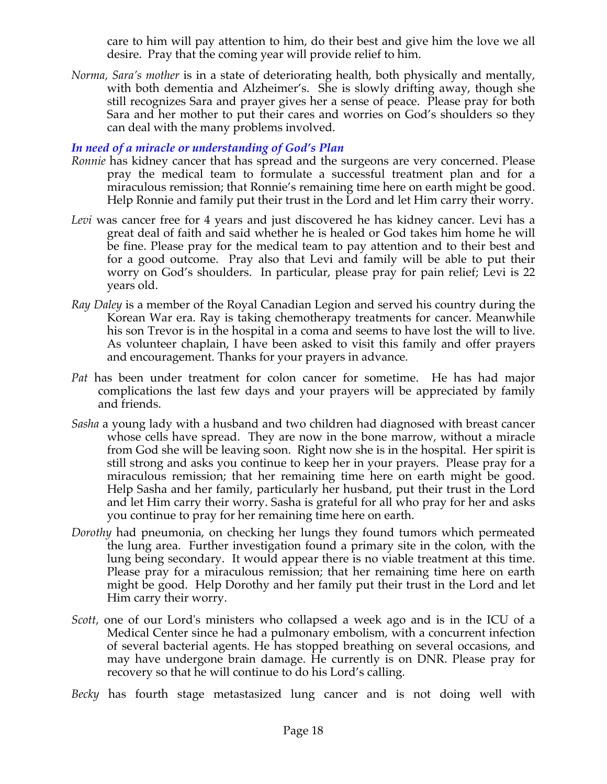care to him will pay attention to him, do their best and give him the love we all desire. Pray that the coming year will provide relief to him.

*Norma, Sara's mother* is in a state of deteriorating health, both physically and mentally, with both dementia and Alzheimer's. She is slowly drifting away, though she still recognizes Sara and prayer gives her a sense of peace. Please pray for both Sara and her mother to put their cares and worries on God's shoulders so they can deal with the many problems involved.

# *In need of a miracle or understanding of God's Plan*

- *Ronnie* has kidney cancer that has spread and the surgeons are very concerned. Please pray the medical team to formulate a successful treatment plan and for a miraculous remission; that Ronnie's remaining time here on earth might be good. Help Ronnie and family put their trust in the Lord and let Him carry their worry.
- *Levi* was cancer free for 4 years and just discovered he has kidney cancer. Levi has a great deal of faith and said whether he is healed or God takes him home he will be fine. Please pray for the medical team to pay attention and to their best and for a good outcome. Pray also that Levi and family will be able to put their worry on God's shoulders. In particular, please pray for pain relief; Levi is 22 years old.
- *Ray Daley* is a member of the Royal Canadian Legion and served his country during the Korean War era. Ray is taking chemotherapy treatments for cancer. Meanwhile his son Trevor is in the hospital in a coma and seems to have lost the will to live. As volunteer chaplain, I have been asked to visit this family and offer prayers and encouragement. Thanks for your prayers in advance*.*
- *Pat* has been under treatment for colon cancer for sometime. He has had major complications the last few days and your prayers will be appreciated by family and friends.
- *Sasha* a young lady with a husband and two children had diagnosed with breast cancer whose cells have spread. They are now in the bone marrow, without a miracle from God she will be leaving soon. Right now she is in the hospital. Her spirit is still strong and asks you continue to keep her in your prayers. Please pray for a miraculous remission; that her remaining time here on earth might be good. Help Sasha and her family, particularly her husband, put their trust in the Lord and let Him carry their worry. Sasha is grateful for all who pray for her and asks you continue to pray for her remaining time here on earth.
- *Dorothy* had pneumonia, on checking her lungs they found tumors which permeated the lung area. Further investigation found a primary site in the colon, with the lung being secondary. It would appear there is no viable treatment at this time. Please pray for a miraculous remission; that her remaining time here on earth might be good. Help Dorothy and her family put their trust in the Lord and let Him carry their worry.
- *Scott,* one of our Lord's ministers who collapsed a week ago and is in the ICU of a Medical Center since he had a pulmonary embolism, with a concurrent infection of several bacterial agents. He has stopped breathing on several occasions, and may have undergone brain damage. He currently is on DNR. Please pray for recovery so that he will continue to do his Lord's calling*.*

*Becky* has fourth stage metastasized lung cancer and is not doing well with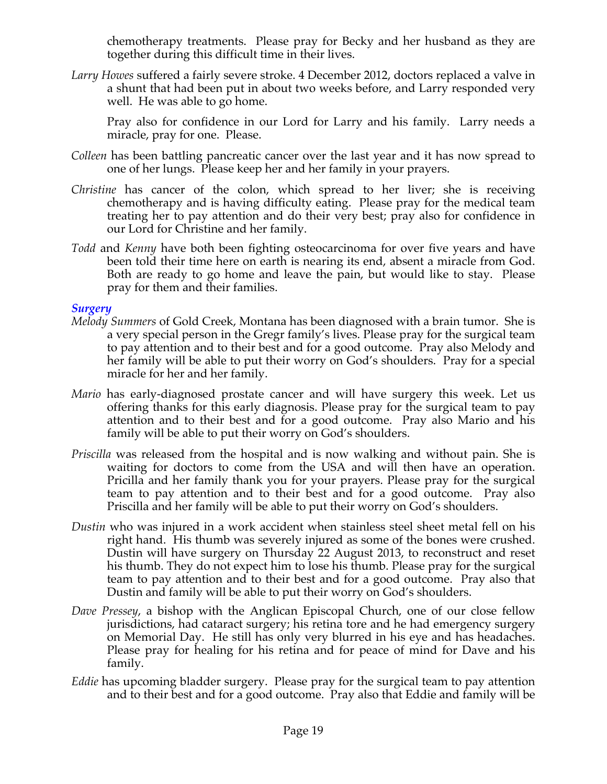chemotherapy treatments. Please pray for Becky and her husband as they are together during this difficult time in their lives.

*Larry Howes* suffered a fairly severe stroke. 4 December 2012, doctors replaced a valve in a shunt that had been put in about two weeks before, and Larry responded very well. He was able to go home.

Pray also for confidence in our Lord for Larry and his family. Larry needs a miracle, pray for one. Please.

- *Colleen* has been battling pancreatic cancer over the last year and it has now spread to one of her lungs. Please keep her and her family in your prayers.
- *Christine* has cancer of the colon, which spread to her liver; she is receiving chemotherapy and is having difficulty eating. Please pray for the medical team treating her to pay attention and do their very best; pray also for confidence in our Lord for Christine and her family.
- *Todd* and *Kenny* have both been fighting osteocarcinoma for over five years and have been told their time here on earth is nearing its end, absent a miracle from God. Both are ready to go home and leave the pain, but would like to stay. Please pray for them and their families.

## *Surgery*

- *Melody Summers* of Gold Creek, Montana has been diagnosed with a brain tumor. She is a very special person in the Gregr family's lives. Please pray for the surgical team to pay attention and to their best and for a good outcome. Pray also Melody and her family will be able to put their worry on God's shoulders. Pray for a special miracle for her and her family.
- *Mario* has early-diagnosed prostate cancer and will have surgery this week. Let us offering thanks for this early diagnosis. Please pray for the surgical team to pay attention and to their best and for a good outcome. Pray also Mario and his family will be able to put their worry on God's shoulders.
- *Priscilla* was released from the hospital and is now walking and without pain. She is waiting for doctors to come from the USA and will then have an operation. Pricilla and her family thank you for your prayers. Please pray for the surgical team to pay attention and to their best and for a good outcome. Pray also Priscilla and her family will be able to put their worry on God's shoulders.
- *Dustin* who was injured in a work accident when stainless steel sheet metal fell on his right hand. His thumb was severely injured as some of the bones were crushed. Dustin will have surgery on Thursday 22 August 2013, to reconstruct and reset his thumb. They do not expect him to lose his thumb. Please pray for the surgical team to pay attention and to their best and for a good outcome. Pray also that Dustin and family will be able to put their worry on God's shoulders.
- *Dave Pressey*, a bishop with the Anglican Episcopal Church, one of our close fellow jurisdictions, had cataract surgery; his retina tore and he had emergency surgery on Memorial Day. He still has only very blurred in his eye and has headaches. Please pray for healing for his retina and for peace of mind for Dave and his family.
- *Eddie* has upcoming bladder surgery. Please pray for the surgical team to pay attention and to their best and for a good outcome. Pray also that Eddie and family will be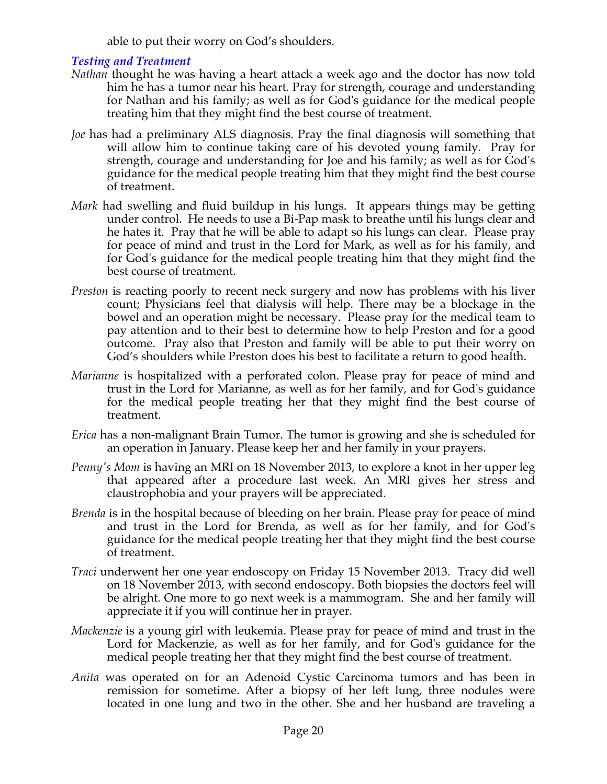able to put their worry on God's shoulders.

# *Testing and Treatment*

- *Nathan* thought he was having a heart attack a week ago and the doctor has now told him he has a tumor near his heart. Pray for strength, courage and understanding for Nathan and his family; as well as for God's guidance for the medical people treating him that they might find the best course of treatment.
- *Joe* has had a preliminary ALS diagnosis. Pray the final diagnosis will something that will allow him to continue taking care of his devoted young family. Pray for strength, courage and understanding for Joe and his family; as well as for God's guidance for the medical people treating him that they might find the best course of treatment.
- *Mark* had swelling and fluid buildup in his lungs. It appears things may be getting under control. He needs to use a Bi-Pap mask to breathe until his lungs clear and he hates it. Pray that he will be able to adapt so his lungs can clear. Please pray for peace of mind and trust in the Lord for Mark, as well as for his family, and for God's guidance for the medical people treating him that they might find the best course of treatment.
- *Preston* is reacting poorly to recent neck surgery and now has problems with his liver count; Physicians feel that dialysis will help. There may be a blockage in the bowel and an operation might be necessary. Please pray for the medical team to pay attention and to their best to determine how to help Preston and for a good outcome. Pray also that Preston and family will be able to put their worry on God's shoulders while Preston does his best to facilitate a return to good health.
- *Marianne* is hospitalized with a perforated colon. Please pray for peace of mind and trust in the Lord for Marianne, as well as for her family, and for God's guidance for the medical people treating her that they might find the best course of treatment.
- *Erica* has a non-malignant Brain Tumor. The tumor is growing and she is scheduled for an operation in January. Please keep her and her family in your prayers.
- *Penny's Mom is having an MRI on 18 November 2013, to explore a knot in her upper leg* that appeared after a procedure last week. An MRI gives her stress and claustrophobia and your prayers will be appreciated.
- *Brenda* is in the hospital because of bleeding on her brain. Please pray for peace of mind and trust in the Lord for Brenda, as well as for her family, and for God's guidance for the medical people treating her that they might find the best course of treatment.
- *Traci* underwent her one year endoscopy on Friday 15 November 2013. Tracy did well on 18 November 2013, with second endoscopy. Both biopsies the doctors feel will be alright. One more to go next week is a mammogram. She and her family will appreciate it if you will continue her in prayer.
- *Mackenzie* is a young girl with leukemia. Please pray for peace of mind and trust in the Lord for Mackenzie, as well as for her family, and for God's guidance for the medical people treating her that they might find the best course of treatment.
- *Anita* was operated on for an Adenoid Cystic Carcinoma tumors and has been in remission for sometime. After a biopsy of her left lung, three nodules were located in one lung and two in the other. She and her husband are traveling a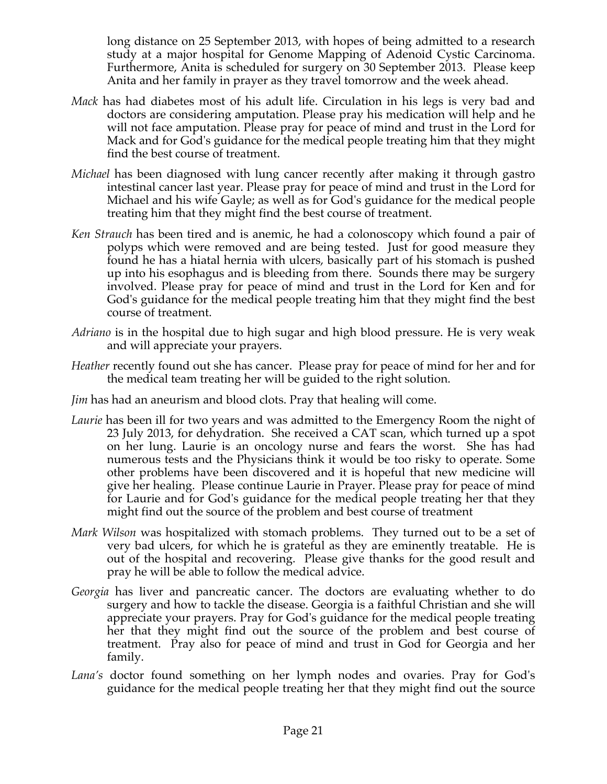long distance on 25 September 2013, with hopes of being admitted to a research study at a major hospital for Genome Mapping of Adenoid Cystic Carcinoma. Furthermore, Anita is scheduled for surgery on 30 September 2013. Please keep Anita and her family in prayer as they travel tomorrow and the week ahead.

- *Mack* has had diabetes most of his adult life. Circulation in his legs is very bad and doctors are considering amputation. Please pray his medication will help and he will not face amputation. Please pray for peace of mind and trust in the Lord for Mack and for God's guidance for the medical people treating him that they might find the best course of treatment.
- *Michael* has been diagnosed with lung cancer recently after making it through gastro intestinal cancer last year. Please pray for peace of mind and trust in the Lord for Michael and his wife Gayle; as well as for God's guidance for the medical people treating him that they might find the best course of treatment.
- *Ken Strauch* has been tired and is anemic, he had a colonoscopy which found a pair of polyps which were removed and are being tested. Just for good measure they found he has a hiatal hernia with ulcers, basically part of his stomach is pushed up into his esophagus and is bleeding from there. Sounds there may be surgery involved. Please pray for peace of mind and trust in the Lord for Ken and for God's guidance for the medical people treating him that they might find the best course of treatment.
- *Adriano* is in the hospital due to high sugar and high blood pressure. He is very weak and will appreciate your prayers.
- *Heather* recently found out she has cancer. Please pray for peace of mind for her and for the medical team treating her will be guided to the right solution.
- *Jim* has had an aneurism and blood clots. Pray that healing will come.
- *Laurie* has been ill for two years and was admitted to the Emergency Room the night of 23 July 2013, for dehydration. She received a CAT scan, which turned up a spot on her lung. Laurie is an oncology nurse and fears the worst. She has had numerous tests and the Physicians think it would be too risky to operate. Some other problems have been discovered and it is hopeful that new medicine will give her healing. Please continue Laurie in Prayer. Please pray for peace of mind for Laurie and for God's guidance for the medical people treating her that they might find out the source of the problem and best course of treatment
- *Mark Wilson* was hospitalized with stomach problems. They turned out to be a set of very bad ulcers, for which he is grateful as they are eminently treatable. He is out of the hospital and recovering. Please give thanks for the good result and pray he will be able to follow the medical advice.
- *Georgia* has liver and pancreatic cancer. The doctors are evaluating whether to do surgery and how to tackle the disease. Georgia is a faithful Christian and she will appreciate your prayers. Pray for God's guidance for the medical people treating her that they might find out the source of the problem and best course of treatment. Pray also for peace of mind and trust in God for Georgia and her family.
- *Lana's* doctor found something on her lymph nodes and ovaries. Pray for God's guidance for the medical people treating her that they might find out the source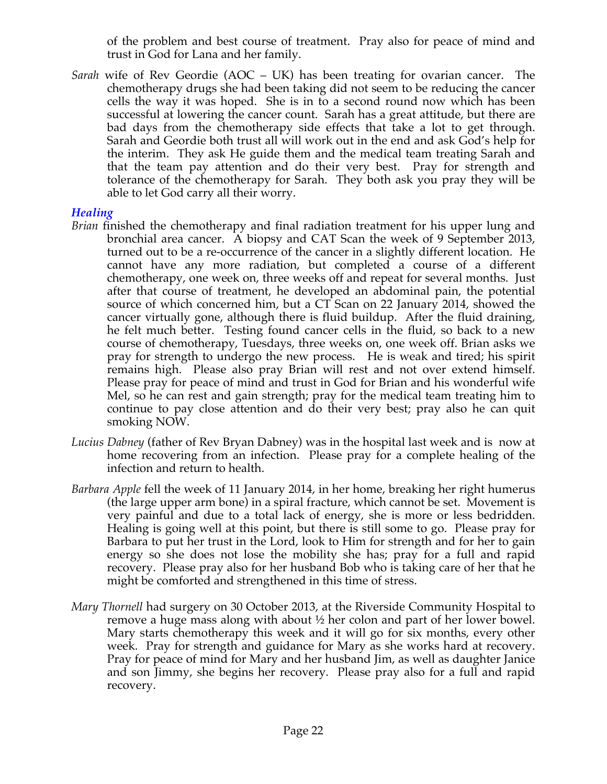of the problem and best course of treatment. Pray also for peace of mind and trust in God for Lana and her family.

*Sarah* wife of Rev Geordie (AOC – UK) has been treating for ovarian cancer. The chemotherapy drugs she had been taking did not seem to be reducing the cancer cells the way it was hoped. She is in to a second round now which has been successful at lowering the cancer count. Sarah has a great attitude, but there are bad days from the chemotherapy side effects that take a lot to get through. Sarah and Geordie both trust all will work out in the end and ask God's help for the interim. They ask He guide them and the medical team treating Sarah and that the team pay attention and do their very best. Pray for strength and tolerance of the chemotherapy for Sarah. They both ask you pray they will be able to let God carry all their worry.

#### *Healing*

- *Brian* finished the chemotherapy and final radiation treatment for his upper lung and bronchial area cancer. A biopsy and CAT Scan the week of 9 September 2013, turned out to be a re-occurrence of the cancer in a slightly different location. He cannot have any more radiation, but completed a course of a different chemotherapy, one week on, three weeks off and repeat for several months. Just after that course of treatment, he developed an abdominal pain, the potential source of which concerned him, but a CT Scan on 22 January 2014, showed the cancer virtually gone, although there is fluid buildup. After the fluid draining, he felt much better. Testing found cancer cells in the fluid, so back to a new course of chemotherapy, Tuesdays, three weeks on, one week off. Brian asks we pray for strength to undergo the new process. He is weak and tired; his spirit remains high. Please also pray Brian will rest and not over extend himself. Please pray for peace of mind and trust in God for Brian and his wonderful wife Mel, so he can rest and gain strength; pray for the medical team treating him to continue to pay close attention and do their very best; pray also he can quit smoking NOW.
- *Lucius Dabney* (father of Rev Bryan Dabney) was in the hospital last week and is now at home recovering from an infection. Please pray for a complete healing of the infection and return to health.
- *Barbara Apple* fell the week of 11 January 2014, in her home, breaking her right humerus (the large upper arm bone) in a spiral fracture, which cannot be set. Movement is very painful and due to a total lack of energy, she is more or less bedridden. Healing is going well at this point, but there is still some to go. Please pray for Barbara to put her trust in the Lord, look to Him for strength and for her to gain energy so she does not lose the mobility she has; pray for a full and rapid recovery. Please pray also for her husband Bob who is taking care of her that he might be comforted and strengthened in this time of stress.
- *Mary Thornell* had surgery on 30 October 2013, at the Riverside Community Hospital to remove a huge mass along with about ½ her colon and part of her lower bowel. Mary starts chemotherapy this week and it will go for six months, every other week. Pray for strength and guidance for Mary as she works hard at recovery. Pray for peace of mind for Mary and her husband Jim, as well as daughter Janice and son Jimmy, she begins her recovery. Please pray also for a full and rapid recovery.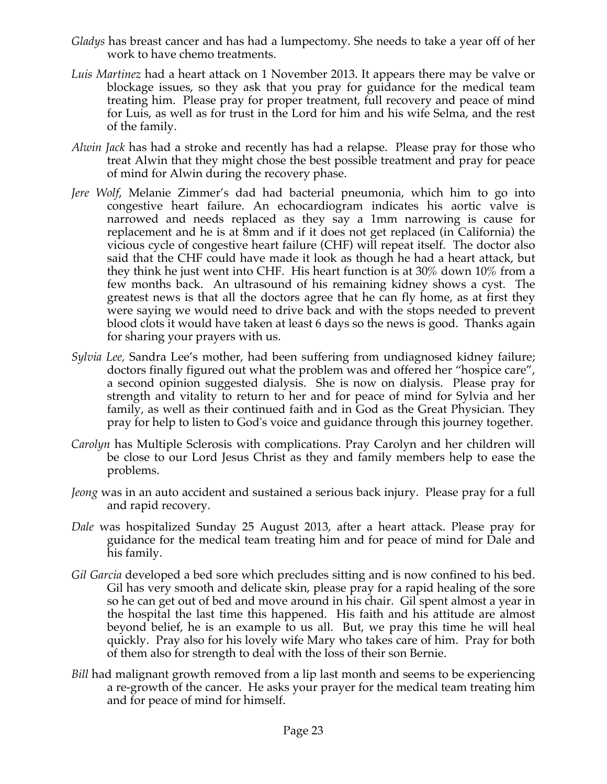- *Gladys* has breast cancer and has had a lumpectomy. She needs to take a year off of her work to have chemo treatments.
- *Luis Martinez* had a heart attack on 1 November 2013. It appears there may be valve or blockage issues, so they ask that you pray for guidance for the medical team treating him. Please pray for proper treatment, full recovery and peace of mind for Luis, as well as for trust in the Lord for him and his wife Selma, and the rest of the family.
- *Alwin Jack* has had a stroke and recently has had a relapse. Please pray for those who treat Alwin that they might chose the best possible treatment and pray for peace of mind for Alwin during the recovery phase.
- *Jere Wolf*, Melanie Zimmer's dad had bacterial pneumonia, which him to go into congestive heart failure. An echocardiogram indicates his aortic valve is narrowed and needs replaced as they say a 1mm narrowing is cause for replacement and he is at 8mm and if it does not get replaced (in California) the vicious cycle of congestive heart failure (CHF) will repeat itself. The doctor also said that the CHF could have made it look as though he had a heart attack, but they think he just went into CHF. His heart function is at 30% down 10% from a few months back. An ultrasound of his remaining kidney shows a cyst. The greatest news is that all the doctors agree that he can fly home, as at first they were saying we would need to drive back and with the stops needed to prevent blood clots it would have taken at least 6 days so the news is good. Thanks again for sharing your prayers with us.
- *Sylvia Lee,* Sandra Lee's mother, had been suffering from undiagnosed kidney failure; doctors finally figured out what the problem was and offered her "hospice care", a second opinion suggested dialysis. She is now on dialysis. Please pray for strength and vitality to return to her and for peace of mind for Sylvia and her family, as well as their continued faith and in God as the Great Physician. They pray for help to listen to God's voice and guidance through this journey together.
- *Carolyn* has Multiple Sclerosis with complications. Pray Carolyn and her children will be close to our Lord Jesus Christ as they and family members help to ease the problems.
- *Jeong* was in an auto accident and sustained a serious back injury. Please pray for a full and rapid recovery.
- *Dale* was hospitalized Sunday 25 August 2013, after a heart attack. Please pray for guidance for the medical team treating him and for peace of mind for Dale and his family.
- *Gil Garcia* developed a bed sore which precludes sitting and is now confined to his bed. Gil has very smooth and delicate skin, please pray for a rapid healing of the sore so he can get out of bed and move around in his chair. Gil spent almost a year in the hospital the last time this happened. His faith and his attitude are almost beyond belief, he is an example to us all. But, we pray this time he will heal quickly. Pray also for his lovely wife Mary who takes care of him. Pray for both of them also for strength to deal with the loss of their son Bernie.
- *Bill* had malignant growth removed from a lip last month and seems to be experiencing a re-growth of the cancer. He asks your prayer for the medical team treating him and for peace of mind for himself.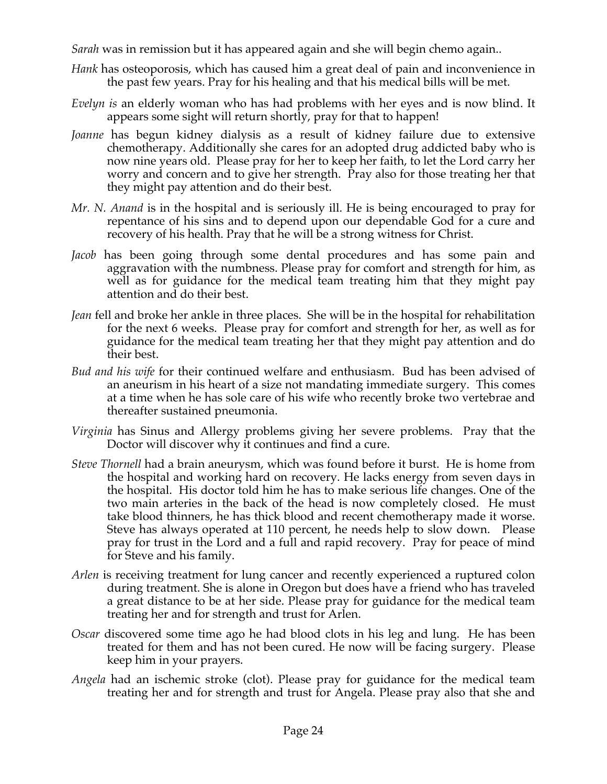*Sarah* was in remission but it has appeared again and she will begin chemo again..

- *Hank* has osteoporosis, which has caused him a great deal of pain and inconvenience in the past few years. Pray for his healing and that his medical bills will be met.
- *Evelyn is* an elderly woman who has had problems with her eyes and is now blind. It appears some sight will return shortly, pray for that to happen!
- *Joanne* has begun kidney dialysis as a result of kidney failure due to extensive chemotherapy. Additionally she cares for an adopted drug addicted baby who is now nine years old. Please pray for her to keep her faith, to let the Lord carry her worry and concern and to give her strength. Pray also for those treating her that they might pay attention and do their best.
- *Mr. N. Anand* is in the hospital and is seriously ill. He is being encouraged to pray for repentance of his sins and to depend upon our dependable God for a cure and recovery of his health. Pray that he will be a strong witness for Christ.
- *Jacob* has been going through some dental procedures and has some pain and aggravation with the numbness. Please pray for comfort and strength for him, as well as for guidance for the medical team treating him that they might pay attention and do their best.
- *Jean* fell and broke her ankle in three places. She will be in the hospital for rehabilitation for the next 6 weeks. Please pray for comfort and strength for her, as well as for guidance for the medical team treating her that they might pay attention and do their best.
- *Bud and his wife* for their continued welfare and enthusiasm. Bud has been advised of an aneurism in his heart of a size not mandating immediate surgery. This comes at a time when he has sole care of his wife who recently broke two vertebrae and thereafter sustained pneumonia.
- *Virginia* has Sinus and Allergy problems giving her severe problems. Pray that the Doctor will discover why it continues and find a cure.
- *Steve Thornell* had a brain aneurysm, which was found before it burst. He is home from the hospital and working hard on recovery. He lacks energy from seven days in the hospital. His doctor told him he has to make serious life changes. One of the two main arteries in the back of the head is now completely closed. He must take blood thinners, he has thick blood and recent chemotherapy made it worse. Steve has always operated at 110 percent, he needs help to slow down. Please pray for trust in the Lord and a full and rapid recovery. Pray for peace of mind for Steve and his family.
- *Arlen* is receiving treatment for lung cancer and recently experienced a ruptured colon during treatment. She is alone in Oregon but does have a friend who has traveled a great distance to be at her side. Please pray for guidance for the medical team treating her and for strength and trust for Arlen.
- *Oscar* discovered some time ago he had blood clots in his leg and lung. He has been treated for them and has not been cured. He now will be facing surgery. Please keep him in your prayers.
- *Angela* had an ischemic stroke (clot). Please pray for guidance for the medical team treating her and for strength and trust for Angela. Please pray also that she and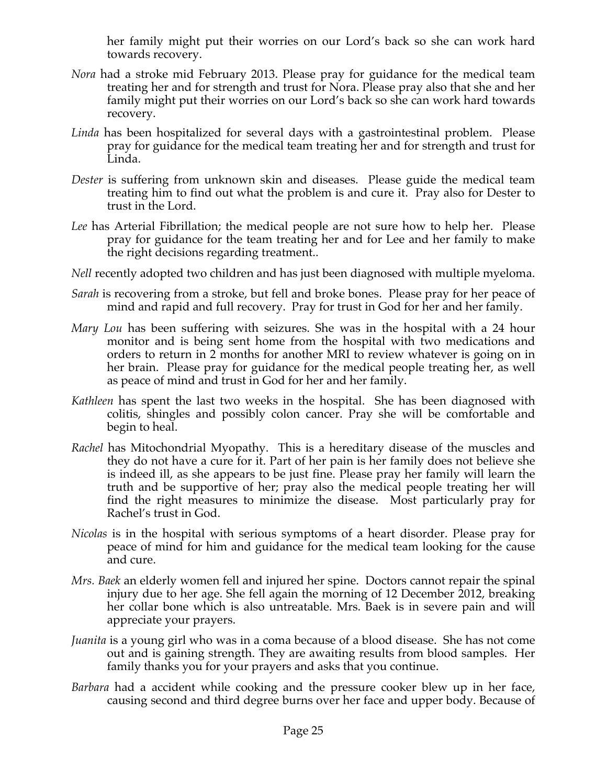her family might put their worries on our Lord's back so she can work hard towards recovery.

- *Nora* had a stroke mid February 2013. Please pray for guidance for the medical team treating her and for strength and trust for Nora. Please pray also that she and her family might put their worries on our Lord's back so she can work hard towards recovery.
- *Linda* has been hospitalized for several days with a gastrointestinal problem. Please pray for guidance for the medical team treating her and for strength and trust for Linda.
- *Dester* is suffering from unknown skin and diseases. Please guide the medical team treating him to find out what the problem is and cure it. Pray also for Dester to trust in the Lord.
- *Lee* has Arterial Fibrillation; the medical people are not sure how to help her. Please pray for guidance for the team treating her and for Lee and her family to make the right decisions regarding treatment..
- *Nell* recently adopted two children and has just been diagnosed with multiple myeloma.
- *Sarah* is recovering from a stroke, but fell and broke bones. Please pray for her peace of mind and rapid and full recovery. Pray for trust in God for her and her family.
- *Mary Lou* has been suffering with seizures. She was in the hospital with a 24 hour monitor and is being sent home from the hospital with two medications and orders to return in 2 months for another MRI to review whatever is going on in her brain. Please pray for guidance for the medical people treating her, as well as peace of mind and trust in God for her and her family.
- *Kathleen* has spent the last two weeks in the hospital. She has been diagnosed with colitis, shingles and possibly colon cancer. Pray she will be comfortable and begin to heal.
- *Rachel* has Mitochondrial Myopathy. This is a hereditary disease of the muscles and they do not have a cure for it. Part of her pain is her family does not believe she is indeed ill, as she appears to be just fine. Please pray her family will learn the truth and be supportive of her; pray also the medical people treating her will find the right measures to minimize the disease. Most particularly pray for Rachel's trust in God.
- *Nicolas* is in the hospital with serious symptoms of a heart disorder. Please pray for peace of mind for him and guidance for the medical team looking for the cause and cure.
- *Mrs. Baek* an elderly women fell and injured her spine. Doctors cannot repair the spinal injury due to her age. She fell again the morning of 12 December 2012, breaking her collar bone which is also untreatable. Mrs. Baek is in severe pain and will appreciate your prayers.
- *Juanita* is a young girl who was in a coma because of a blood disease. She has not come out and is gaining strength. They are awaiting results from blood samples. Her family thanks you for your prayers and asks that you continue.
- *Barbara* had a accident while cooking and the pressure cooker blew up in her face, causing second and third degree burns over her face and upper body. Because of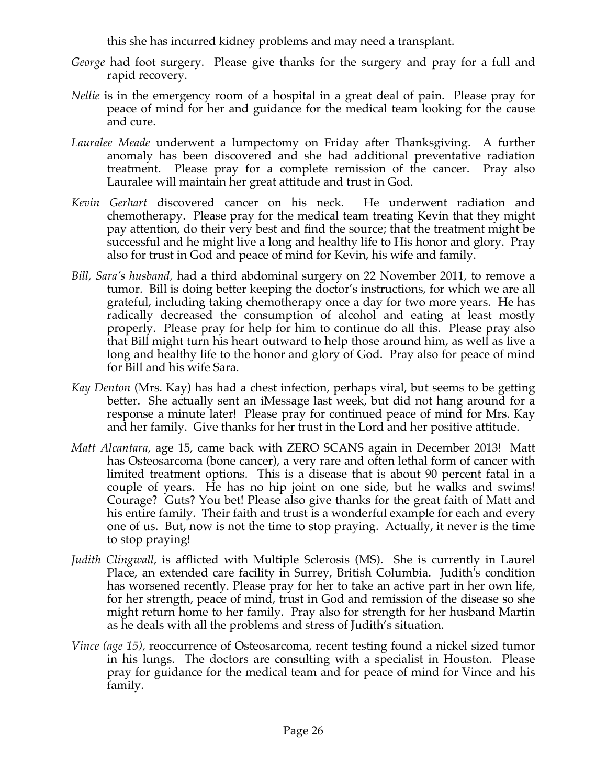this she has incurred kidney problems and may need a transplant.

- *George* had foot surgery. Please give thanks for the surgery and pray for a full and rapid recovery.
- *Nellie* is in the emergency room of a hospital in a great deal of pain. Please pray for peace of mind for her and guidance for the medical team looking for the cause and cure.
- *Lauralee Meade* underwent a lumpectomy on Friday after Thanksgiving. A further anomaly has been discovered and she had additional preventative radiation treatment. Please pray for a complete remission of the cancer. Pray also Lauralee will maintain her great attitude and trust in God.
- *Kevin Gerhart* discovered cancer on his neck. He underwent radiation and chemotherapy. Please pray for the medical team treating Kevin that they might pay attention, do their very best and find the source; that the treatment might be successful and he might live a long and healthy life to His honor and glory. Pray also for trust in God and peace of mind for Kevin, his wife and family.
- *Bill, Sara's husband,* had a third abdominal surgery on 22 November 2011, to remove a tumor. Bill is doing better keeping the doctor's instructions, for which we are all grateful, including taking chemotherapy once a day for two more years. He has radically decreased the consumption of alcohol and eating at least mostly properly. Please pray for help for him to continue do all this. Please pray also that Bill might turn his heart outward to help those around him, as well as live a long and healthy life to the honor and glory of God. Pray also for peace of mind for Bill and his wife Sara.
- *Kay Denton* (Mrs. Kay) has had a chest infection, perhaps viral, but seems to be getting better. She actually sent an iMessage last week, but did not hang around for a response a minute later! Please pray for continued peace of mind for Mrs. Kay and her family. Give thanks for her trust in the Lord and her positive attitude.
- *Matt Alcantara*, age 15, came back with ZERO SCANS again in December 2013! Matt has Osteosarcoma (bone cancer), a very rare and often lethal form of cancer with limited treatment options. This is a disease that is about 90 percent fatal in a couple of years. He has no hip joint on one side, but he walks and swims! Courage? Guts? You bet! Please also give thanks for the great faith of Matt and his entire family. Their faith and trust is a wonderful example for each and every one of us. But, now is not the time to stop praying. Actually, it never is the time to stop praying!
- *Judith Clingwall*, is afflicted with Multiple Sclerosis (MS). She is currently in Laurel Place, an extended care facility in Surrey, British Columbia. Judith's condition has worsened recently. Please pray for her to take an active part in her own life, for her strength, peace of mind, trust in God and remission of the disease so she might return home to her family. Pray also for strength for her husband Martin as he deals with all the problems and stress of Judith's situation.
- *Vince (age 15),* reoccurrence of Osteosarcoma, recent testing found a nickel sized tumor in his lungs. The doctors are consulting with a specialist in Houston. Please pray for guidance for the medical team and for peace of mind for Vince and his family.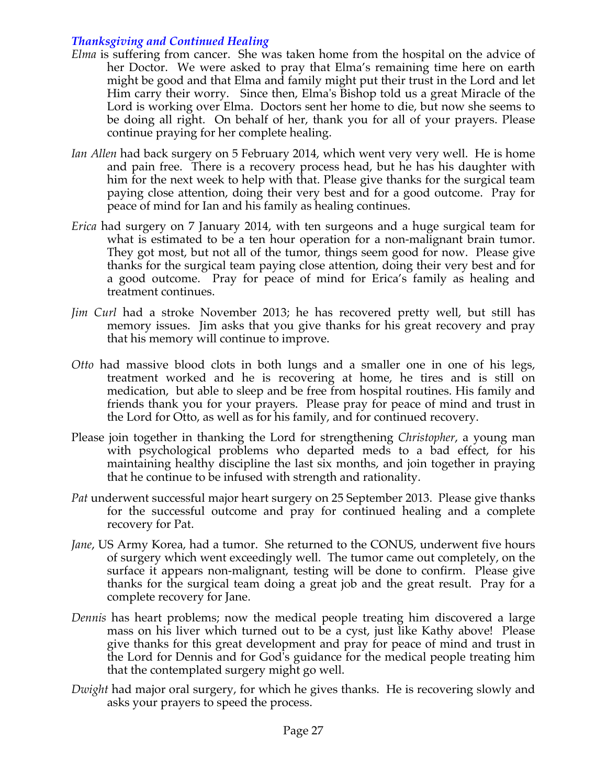# *Thanksgiving and Continued Healing*

- *Elma* is suffering from cancer. She was taken home from the hospital on the advice of her Doctor. We were asked to pray that Elma's remaining time here on earth might be good and that Elma and family might put their trust in the Lord and let Him carry their worry. Since then, Elma's Bishop told us a great Miracle of the Lord is working over Elma. Doctors sent her home to die, but now she seems to be doing all right. On behalf of her, thank you for all of your prayers. Please continue praying for her complete healing.
- *Ian Allen* had back surgery on 5 February 2014, which went very very well. He is home and pain free. There is a recovery process head, but he has his daughter with him for the next week to help with that. Please give thanks for the surgical team paying close attention, doing their very best and for a good outcome. Pray for peace of mind for Ian and his family as healing continues.
- *Erica* had surgery on 7 January 2014, with ten surgeons and a huge surgical team for what is estimated to be a ten hour operation for a non-malignant brain tumor. They got most, but not all of the tumor, things seem good for now. Please give thanks for the surgical team paying close attention, doing their very best and for a good outcome. Pray for peace of mind for Erica's family as healing and treatment continues.
- *Jim Curl* had a stroke November 2013; he has recovered pretty well, but still has memory issues. Jim asks that you give thanks for his great recovery and pray that his memory will continue to improve.
- *Otto* had massive blood clots in both lungs and a smaller one in one of his legs, treatment worked and he is recovering at home, he tires and is still on medication, but able to sleep and be free from hospital routines. His family and friends thank you for your prayers. Please pray for peace of mind and trust in the Lord for Otto, as well as for his family, and for continued recovery.
- Please join together in thanking the Lord for strengthening *Christopher*, a young man with psychological problems who departed meds to a bad effect, for his maintaining healthy discipline the last six months, and join together in praying that he continue to be infused with strength and rationality.
- *Pat* underwent successful major heart surgery on 25 September 2013. Please give thanks for the successful outcome and pray for continued healing and a complete recovery for Pat.
- *Jane*, US Army Korea, had a tumor. She returned to the CONUS, underwent five hours of surgery which went exceedingly well. The tumor came out completely, on the surface it appears non-malignant, testing will be done to confirm. Please give thanks for the surgical team doing a great job and the great result. Pray for a complete recovery for Jane.
- *Dennis* has heart problems; now the medical people treating him discovered a large mass on his liver which turned out to be a cyst, just like Kathy above! Please give thanks for this great development and pray for peace of mind and trust in the Lord for Dennis and for God's guidance for the medical people treating him that the contemplated surgery might go well.
- *Dwight* had major oral surgery, for which he gives thanks. He is recovering slowly and asks your prayers to speed the process.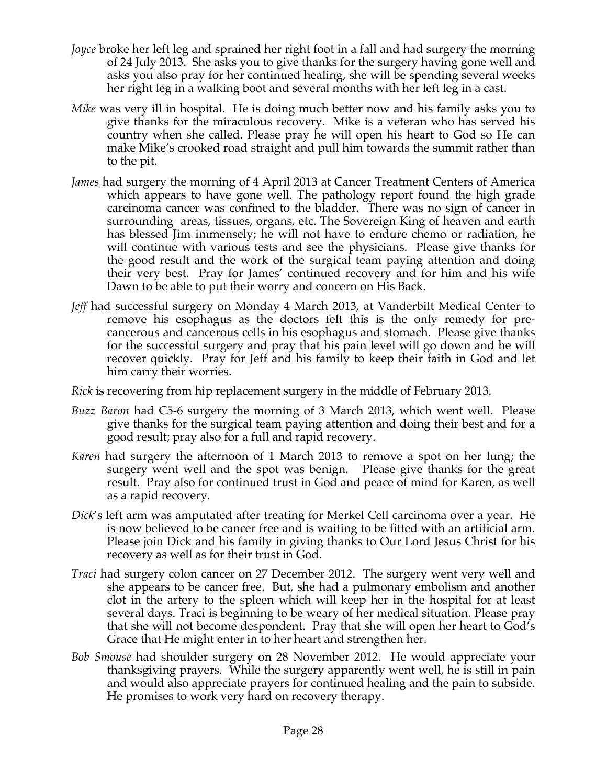- *Joyce* broke her left leg and sprained her right foot in a fall and had surgery the morning of 24 July 2013. She asks you to give thanks for the surgery having gone well and asks you also pray for her continued healing, she will be spending several weeks her right leg in a walking boot and several months with her left leg in a cast.
- *Mike* was very ill in hospital. He is doing much better now and his family asks you to give thanks for the miraculous recovery. Mike is a veteran who has served his country when she called. Please pray he will open his heart to God so He can make Mike's crooked road straight and pull him towards the summit rather than to the pit.
- *James* had surgery the morning of 4 April 2013 at Cancer Treatment Centers of America which appears to have gone well. The pathology report found the high grade carcinoma cancer was confined to the bladder. There was no sign of cancer in surrounding areas, tissues, organs, etc. The Sovereign King of heaven and earth has blessed Jim immensely; he will not have to endure chemo or radiation, he will continue with various tests and see the physicians. Please give thanks for the good result and the work of the surgical team paying attention and doing their very best. Pray for James' continued recovery and for him and his wife Dawn to be able to put their worry and concern on His Back.
- *Jeff* had successful surgery on Monday 4 March 2013, at Vanderbilt Medical Center to remove his esophagus as the doctors felt this is the only remedy for precancerous and cancerous cells in his esophagus and stomach. Please give thanks for the successful surgery and pray that his pain level will go down and he will recover quickly. Pray for Jeff and his family to keep their faith in God and let him carry their worries.
- *Rick* is recovering from hip replacement surgery in the middle of February 2013.
- *Buzz Baron* had C5-6 surgery the morning of 3 March 2013, which went well. Please give thanks for the surgical team paying attention and doing their best and for a good result; pray also for a full and rapid recovery.
- *Karen* had surgery the afternoon of 1 March 2013 to remove a spot on her lung; the surgery went well and the spot was benign. Please give thanks for the great result. Pray also for continued trust in God and peace of mind for Karen, as well as a rapid recovery.
- *Dick*'s left arm was amputated after treating for Merkel Cell carcinoma over a year. He is now believed to be cancer free and is waiting to be fitted with an artificial arm. Please join Dick and his family in giving thanks to Our Lord Jesus Christ for his recovery as well as for their trust in God.
- *Traci* had surgery colon cancer on 27 December 2012. The surgery went very well and she appears to be cancer free. But, she had a pulmonary embolism and another clot in the artery to the spleen which will keep her in the hospital for at least several days. Traci is beginning to be weary of her medical situation. Please pray that she will not become despondent. Pray that she will open her heart to God's Grace that He might enter in to her heart and strengthen her.
- *Bob Smouse* had shoulder surgery on 28 November 2012. He would appreciate your thanksgiving prayers. While the surgery apparently went well, he is still in pain and would also appreciate prayers for continued healing and the pain to subside. He promises to work very hard on recovery therapy.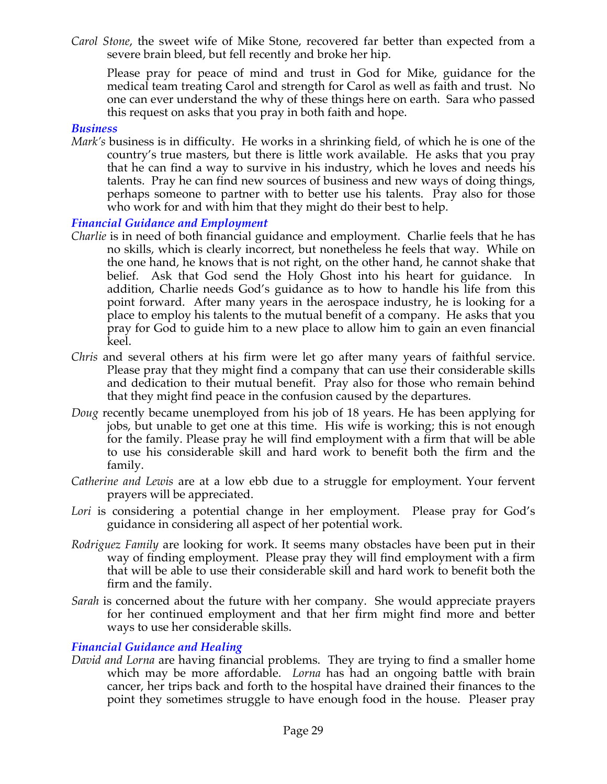*Carol Stone*, the sweet wife of Mike Stone, recovered far better than expected from a severe brain bleed, but fell recently and broke her hip.

Please pray for peace of mind and trust in God for Mike, guidance for the medical team treating Carol and strength for Carol as well as faith and trust. No one can ever understand the why of these things here on earth. Sara who passed this request on asks that you pray in both faith and hope.

#### *Business*

*Mark's* business is in difficulty. He works in a shrinking field, of which he is one of the country's true masters, but there is little work available. He asks that you pray that he can find a way to survive in his industry, which he loves and needs his talents. Pray he can find new sources of business and new ways of doing things, perhaps someone to partner with to better use his talents. Pray also for those who work for and with him that they might do their best to help.

#### *Financial Guidance and Employment*

- *Charlie* is in need of both financial guidance and employment. Charlie feels that he has no skills, which is clearly incorrect, but nonetheless he feels that way. While on the one hand, he knows that is not right, on the other hand, he cannot shake that belief. Ask that God send the Holy Ghost into his heart for guidance. In addition, Charlie needs God's guidance as to how to handle his life from this point forward. After many years in the aerospace industry, he is looking for a place to employ his talents to the mutual benefit of a company. He asks that you pray for God to guide him to a new place to allow him to gain an even financial keel.
- *Chris* and several others at his firm were let go after many years of faithful service. Please pray that they might find a company that can use their considerable skills and dedication to their mutual benefit. Pray also for those who remain behind that they might find peace in the confusion caused by the departures.
- *Doug* recently became unemployed from his job of 18 years. He has been applying for jobs, but unable to get one at this time. His wife is working; this is not enough for the family. Please pray he will find employment with a firm that will be able to use his considerable skill and hard work to benefit both the firm and the family.
- *Catherine and Lewis* are at a low ebb due to a struggle for employment. Your fervent prayers will be appreciated.
- Lori is considering a potential change in her employment. Please pray for God's guidance in considering all aspect of her potential work.
- *Rodriguez Family* are looking for work. It seems many obstacles have been put in their way of finding employment. Please pray they will find employment with a firm that will be able to use their considerable skill and hard work to benefit both the firm and the family.
- *Sarah* is concerned about the future with her company. She would appreciate prayers for her continued employment and that her firm might find more and better ways to use her considerable skills.

## *Financial Guidance and Healing*

*David and Lorna* are having financial problems. They are trying to find a smaller home which may be more affordable. *Lorna* has had an ongoing battle with brain cancer, her trips back and forth to the hospital have drained their finances to the point they sometimes struggle to have enough food in the house. Pleaser pray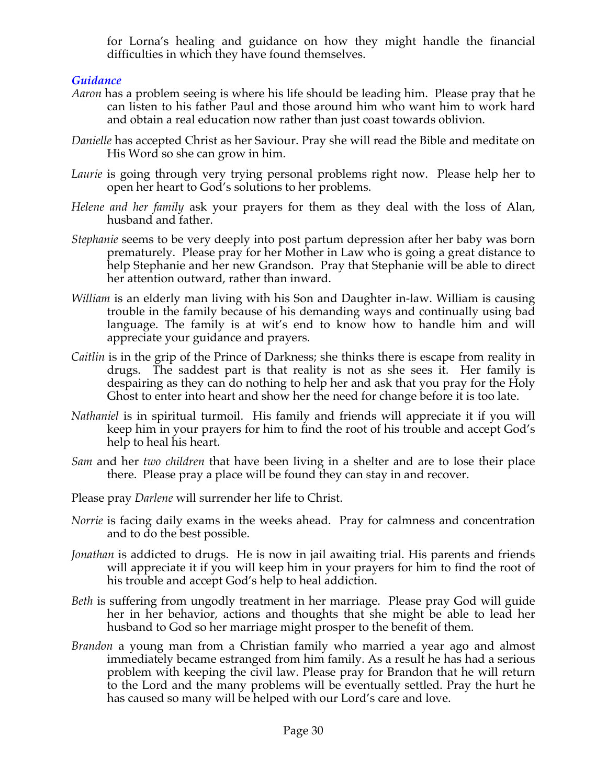for Lorna's healing and guidance on how they might handle the financial difficulties in which they have found themselves.

# *Guidance*

- *Aaron* has a problem seeing is where his life should be leading him. Please pray that he can listen to his father Paul and those around him who want him to work hard and obtain a real education now rather than just coast towards oblivion.
- *Danielle* has accepted Christ as her Saviour. Pray she will read the Bible and meditate on His Word so she can grow in him.
- *Laurie* is going through very trying personal problems right now. Please help her to open her heart to God's solutions to her problems.
- *Helene and her family* ask your prayers for them as they deal with the loss of Alan, husband and father.
- *Stephanie* seems to be very deeply into post partum depression after her baby was born prematurely. Please pray for her Mother in Law who is going a great distance to help Stephanie and her new Grandson. Pray that Stephanie will be able to direct her attention outward, rather than inward.
- *William* is an elderly man living with his Son and Daughter in-law. William is causing trouble in the family because of his demanding ways and continually using bad language. The family is at wit's end to know how to handle him and will appreciate your guidance and prayers.
- *Caitlin* is in the grip of the Prince of Darkness; she thinks there is escape from reality in drugs. The saddest part is that reality is not as she sees it. Her family is despairing as they can do nothing to help her and ask that you pray for the Holy Ghost to enter into heart and show her the need for change before it is too late.
- *Nathaniel* is in spiritual turmoil. His family and friends will appreciate it if you will keep him in your prayers for him to find the root of his trouble and accept God's help to heal his heart.
- *Sam* and her *two children* that have been living in a shelter and are to lose their place there. Please pray a place will be found they can stay in and recover.
- Please pray *Darlene* will surrender her life to Christ.
- *Norrie* is facing daily exams in the weeks ahead. Pray for calmness and concentration and to do the best possible.
- *Jonathan* is addicted to drugs. He is now in jail awaiting trial. His parents and friends will appreciate it if you will keep him in your prayers for him to find the root of his trouble and accept God's help to heal addiction.
- *Beth* is suffering from ungodly treatment in her marriage. Please pray God will guide her in her behavior, actions and thoughts that she might be able to lead her husband to God so her marriage might prosper to the benefit of them.
- *Brandon* a young man from a Christian family who married a year ago and almost immediately became estranged from him family. As a result he has had a serious problem with keeping the civil law. Please pray for Brandon that he will return to the Lord and the many problems will be eventually settled. Pray the hurt he has caused so many will be helped with our Lord's care and love.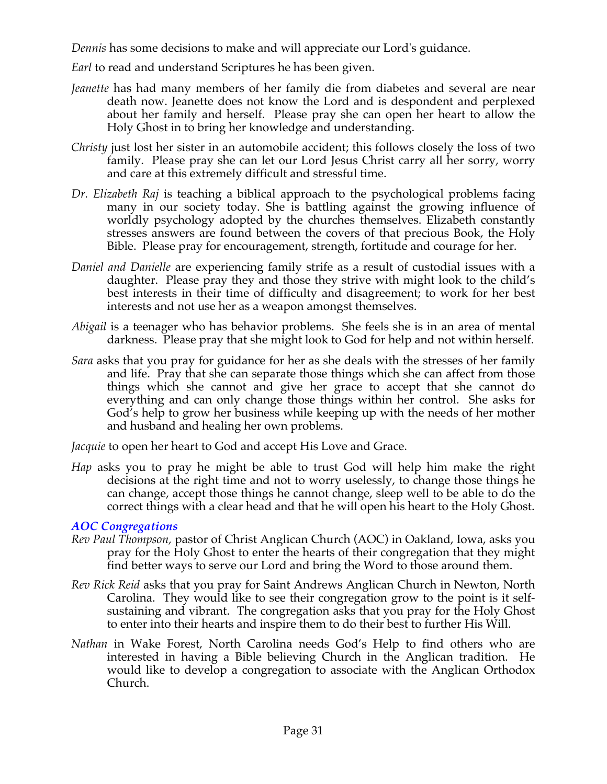*Dennis* has some decisions to make and will appreciate our Lord's guidance.

*Earl* to read and understand Scriptures he has been given.

- *Jeanette* has had many members of her family die from diabetes and several are near death now. Jeanette does not know the Lord and is despondent and perplexed about her family and herself. Please pray she can open her heart to allow the Holy Ghost in to bring her knowledge and understanding.
- *Christy* just lost her sister in an automobile accident; this follows closely the loss of two family. Please pray she can let our Lord Jesus Christ carry all her sorry, worry and care at this extremely difficult and stressful time.
- *Dr. Elizabeth Raj* is teaching a biblical approach to the psychological problems facing many in our society today. She is battling against the growing influence of worldly psychology adopted by the churches themselves. Elizabeth constantly stresses answers are found between the covers of that precious Book, the Holy Bible. Please pray for encouragement, strength, fortitude and courage for her.
- *Daniel and Danielle* are experiencing family strife as a result of custodial issues with a daughter. Please pray they and those they strive with might look to the child's best interests in their time of difficulty and disagreement; to work for her best interests and not use her as a weapon amongst themselves.
- *Abigail* is a teenager who has behavior problems. She feels she is in an area of mental darkness. Please pray that she might look to God for help and not within herself.
- *Sara* asks that you pray for guidance for her as she deals with the stresses of her family and life. Pray that she can separate those things which she can affect from those things which she cannot and give her grace to accept that she cannot do everything and can only change those things within her control. She asks for God's help to grow her business while keeping up with the needs of her mother and husband and healing her own problems.

*Jacquie* to open her heart to God and accept His Love and Grace.

*Hap* asks you to pray he might be able to trust God will help him make the right decisions at the right time and not to worry uselessly, to change those things he can change, accept those things he cannot change, sleep well to be able to do the correct things with a clear head and that he will open his heart to the Holy Ghost.

# *AOC Congregations*

- *Rev Paul Thompson,* pastor of Christ Anglican Church (AOC) in Oakland, Iowa, asks you pray for the Holy Ghost to enter the hearts of their congregation that they might find better ways to serve our Lord and bring the Word to those around them.
- *Rev Rick Reid* asks that you pray for Saint Andrews Anglican Church in Newton, North Carolina. They would like to see their congregation grow to the point is it selfsustaining and vibrant. The congregation asks that you pray for the Holy Ghost to enter into their hearts and inspire them to do their best to further His Will.
- *Nathan* in Wake Forest, North Carolina needs God's Help to find others who are interested in having a Bible believing Church in the Anglican tradition. He would like to develop a congregation to associate with the Anglican Orthodox Church.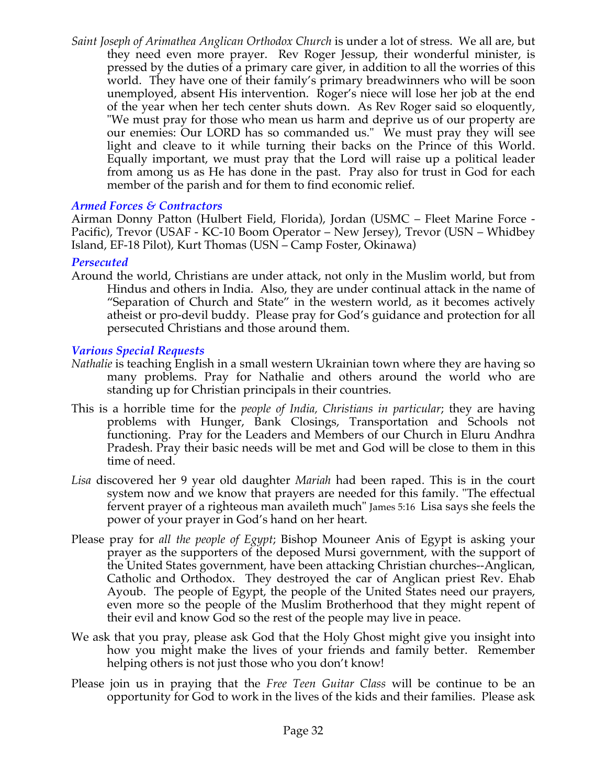*Saint Joseph of Arimathea Anglican Orthodox Church* is under a lot of stress. We all are, but they need even more prayer. Rev Roger Jessup, their wonderful minister, is pressed by the duties of a primary care giver, in addition to all the worries of this world. They have one of their family's primary breadwinners who will be soon unemployed, absent His intervention. Roger's niece will lose her job at the end of the year when her tech center shuts down. As Rev Roger said so eloquently, "We must pray for those who mean us harm and deprive us of our property are our enemies: Our LORD has so commanded us." We must pray they will see light and cleave to it while turning their backs on the Prince of this World. Equally important, we must pray that the Lord will raise up a political leader from among us as He has done in the past. Pray also for trust in God for each member of the parish and for them to find economic relief.

# *Armed Forces & Contractors*

Airman Donny Patton (Hulbert Field, Florida), Jordan (USMC – Fleet Marine Force - Pacific), Trevor (USAF - KC-10 Boom Operator – New Jersey), Trevor (USN – Whidbey Island, EF-18 Pilot), Kurt Thomas (USN – Camp Foster, Okinawa)

## *Persecuted*

Around the world, Christians are under attack, not only in the Muslim world, but from Hindus and others in India. Also, they are under continual attack in the name of "Separation of Church and State" in the western world, as it becomes actively atheist or pro-devil buddy. Please pray for God's guidance and protection for all persecuted Christians and those around them.

## *Various Special Requests*

- *Nathalie* is teaching English in a small western Ukrainian town where they are having so many problems. Pray for Nathalie and others around the world who are standing up for Christian principals in their countries.
- This is a horrible time for the *people of India, Christians in particular*; they are having problems with Hunger, Bank Closings, Transportation and Schools not functioning. Pray for the Leaders and Members of our Church in Eluru Andhra Pradesh. Pray their basic needs will be met and God will be close to them in this time of need.
- *Lisa* discovered her 9 year old daughter *Mariah* had been raped. This is in the court system now and we know that prayers are needed for this family. "The effectual fervent prayer of a righteous man availeth much" James 5:16 Lisa says she feels the power of your prayer in God's hand on her heart.
- Please pray for *all the people of Egypt*; Bishop Mouneer Anis of Egypt is asking your prayer as the supporters of the deposed Mursi government, with the support of the United States government, have been attacking Christian churches--Anglican, Catholic and Orthodox. They destroyed the car of Anglican priest Rev. Ehab Ayoub. The people of Egypt, the people of the United States need our prayers, even more so the people of the Muslim Brotherhood that they might repent of their evil and know God so the rest of the people may live in peace.
- We ask that you pray, please ask God that the Holy Ghost might give you insight into how you might make the lives of your friends and family better. Remember helping others is not just those who you don't know!
- Please join us in praying that the *Free Teen Guitar Class* will be continue to be an opportunity for God to work in the lives of the kids and their families. Please ask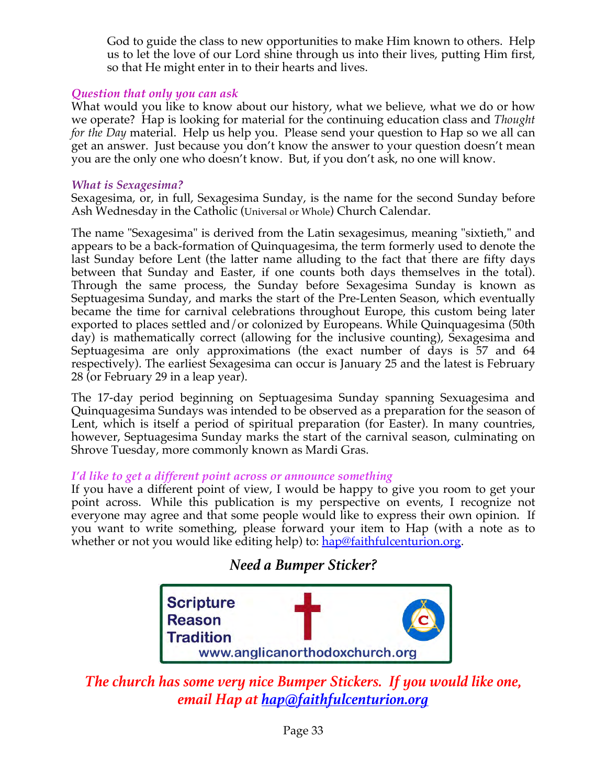God to guide the class to new opportunities to make Him known to others. Help us to let the love of our Lord shine through us into their lives, putting Him first, so that He might enter in to their hearts and lives.

# *Question that only you can ask*

What would you like to know about our history, what we believe, what we do or how we operate? Hap is looking for material for the continuing education class and *Thought for the Day* material. Help us help you. Please send your question to Hap so we all can get an answer. Just because you don't know the answer to your question doesn't mean you are the only one who doesn't know. But, if you don't ask, no one will know.

#### *What is Sexagesima?*

Sexagesima, or, in full, Sexagesima Sunday, is the name for the second Sunday before Ash Wednesday in the Catholic (Universal or Whole) Church Calendar.

The name "Sexagesima" is derived from the Latin sexagesimus, meaning "sixtieth," and appears to be a back-formation of Quinquagesima, the term formerly used to denote the last Sunday before Lent (the latter name alluding to the fact that there are fifty days between that Sunday and Easter, if one counts both days themselves in the total). Through the same process, the Sunday before Sexagesima Sunday is known as Septuagesima Sunday, and marks the start of the Pre-Lenten Season, which eventually became the time for carnival celebrations throughout Europe, this custom being later exported to places settled and/or colonized by Europeans. While Quinquagesima (50th day) is mathematically correct (allowing for the inclusive counting), Sexagesima and Septuagesima are only approximations (the exact number of days is 57 and 64 respectively). The earliest Sexagesima can occur is January 25 and the latest is February 28 (or February 29 in a leap year).

The 17-day period beginning on Septuagesima Sunday spanning Sexuagesima and Quinquagesima Sundays was intended to be observed as a preparation for the season of Lent, which is itself a period of spiritual preparation (for Easter). In many countries, however, Septuagesima Sunday marks the start of the carnival season, culminating on Shrove Tuesday, more commonly known as Mardi Gras.

## *I'd like to get a different point across or announce something*

If you have a different point of view, I would be happy to give you room to get your point across. While this publication is my perspective on events, I recognize not everyone may agree and that some people would like to express their own opinion. If you want to write something, please forward your item to Hap (with a note as to whether or not you would like editing help) to: hap@faithfulcenturion.org.

# *Need a Bumper Sticker?*



# *The church has some very nice Bumper Stickers. If you would like one, email Hap at hap@faithfulcenturion.org*